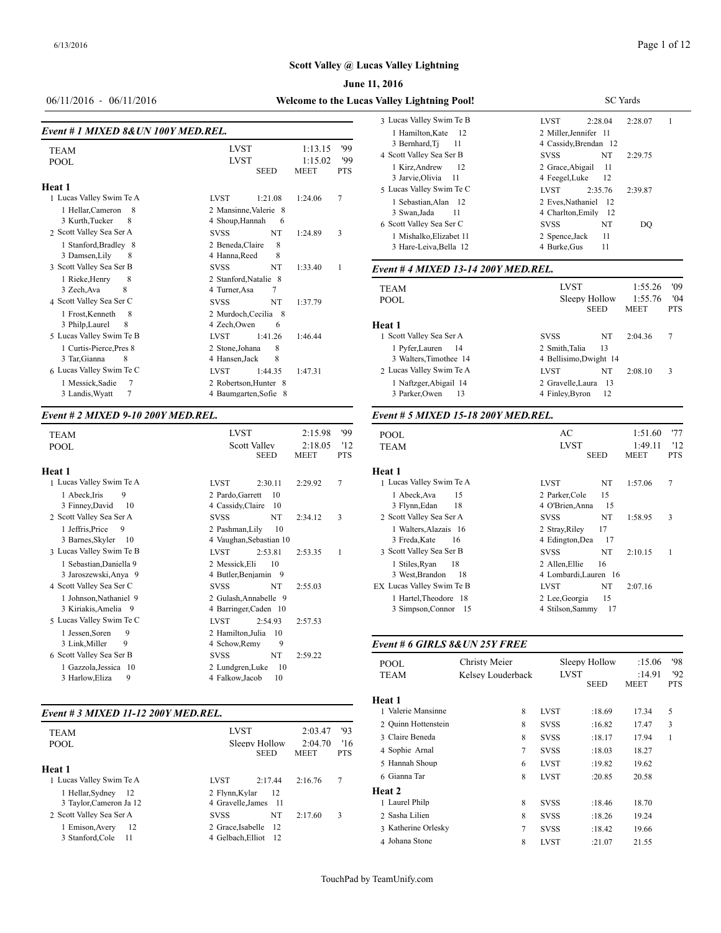**June 11, 2016**

06/11/2016 - 06/11/2016 **Welcome to the Lucas** 

## *Event # 1 MIXED 8&UN 100Y MED.REL.*

|                            |                            |                                  | 1 Transformation                                 | $\sim$ ivilided outlined           |
|----------------------------|----------------------------|----------------------------------|--------------------------------------------------|------------------------------------|
| <b>TEAM</b><br><b>POOL</b> | <b>LVST</b><br><b>LVST</b> | 1:13.15<br>'99<br>1:15.02<br>'99 | 3 Bernhard, Tj<br>11<br>4 Scott Valley Sea Ser B | 4 Cassidy, Brendan<br><b>SVSS</b>  |
|                            | <b>SEED</b>                | <b>PTS</b><br><b>MEET</b>        | 1 Kirz, Andrew<br>12<br>3 Jarvie, Olivia<br>11   | 2 Grace, Abigail<br>4 Feegel, Luke |
| Heat 1                     |                            |                                  | 5 Lucas Valley Swim Te C                         | <b>LVST</b><br>2:35                |
| 1 Lucas Valley Swim Te A   | <b>LVST</b><br>1:21.08     | 7<br>1:24.06                     | 1 Sebastian, Alan 12                             | 2 Eves, Nathaniel                  |
| 1 Hellar, Cameron<br>8     | 2 Mansinne, Valerie 8      |                                  | 3 Swan, Jada<br>11                               | 4 Charlton, Emily                  |
| 3 Kurth, Tucker<br>8       | 4 Shoup, Hannah<br>6       |                                  | 6 Scott Valley Sea Ser C                         | <b>SVSS</b>                        |
| 2 Scott Valley Sea Ser A   | NT<br><b>SVSS</b>          | 3<br>1:24.89                     | 1 Mishalko, Elizabet 11                          | 2 Spence, Jack                     |
| 1 Stanford, Bradley 8      | 8<br>2 Beneda, Claire      |                                  | 3 Hare-Leiva, Bella 12                           | 4 Burke, Gus                       |
| 3 Damsen, Lily<br>8        | 8<br>4 Hanna, Reed         |                                  |                                                  |                                    |
| 3 Scott Valley Sea Ser B   | <b>SVSS</b><br>NT          | 1:33.40                          | Event # 4 MIXED 13-14 200Y MED.REL.              |                                    |
| 1 Rieke, Henry<br>8        | 2 Stanford, Natalie 8      |                                  |                                                  |                                    |
| 3 Zech, Ava<br>8           | 4 Turner, Asa              |                                  | <b>TEAM</b>                                      | <b>LVST</b>                        |
| 4 Scott Valley Sea Ser C   | NT<br><b>SVSS</b>          | 1:37.79                          | <b>POOL</b>                                      | Sleepy Hol                         |
| 8<br>1 Frost, Kenneth      | 2 Murdoch, Cecilia 8       |                                  |                                                  | <b>SEE</b>                         |
| 8<br>3 Philp, Laurel       | 4 Zech, Owen<br>6          |                                  | Heat 1                                           |                                    |
| 5 Lucas Valley Swim Te B   | <b>LVST</b><br>1:41.26     | 1:46.44                          | 1 Scott Valley Sea Ser A                         | <b>SVSS</b>                        |
| 1 Curtis-Pierce.Pres 8     | 8<br>2 Stone, Johana       |                                  | 1 Pyfer, Lauren<br>14                            | 2 Smith, Talia                     |
| 3 Tar, Gianna<br>8         | 8<br>4 Hansen.Jack         |                                  | 3 Walters, Timothee 14                           | 4 Bellisimo, Dwigh                 |
| 6 Lucas Valley Swim Te C   | <b>LVST</b><br>1:44.35     | 1:47.31                          | 2 Lucas Valley Swim Te A                         | <b>LVST</b>                        |
| 1 Messick, Sadie           | 2 Robertson, Hunter 8      |                                  | 1 Naftzger, Abigail 14                           | 2 Gravelle, Laura                  |
| 3 Landis, Wyatt            | 4 Baumgarten, Sofie 8      |                                  | 3 Parker.Owen<br>13                              | 4 Finley, Byron                    |

## *Event # 2 MIXED 9-10 200Y MED.REL.*

| <b>TEAM</b><br><b>POOL</b>                                                | <b>LVST</b><br><b>Scott Valley</b><br><b>SEED</b>                    | 2:15.98<br>2:18.05<br><b>MEET</b> | '99<br>'12<br><b>PTS</b> | <b>POOL</b><br><b>TEAM</b>        |
|---------------------------------------------------------------------------|----------------------------------------------------------------------|-----------------------------------|--------------------------|-----------------------------------|
| Heat 1                                                                    |                                                                      |                                   |                          | Heat 1                            |
| 1 Lucas Valley Swim Te A                                                  | <b>LVST</b><br>2:30.11                                               | 2:29.92                           | 7                        | 1 Lucas Valley Sw                 |
| 9<br>1 Abeck, Iris<br>3 Finney, David<br>10                               | 2 Pardo, Garrett<br>10<br>4 Cassidy, Claire<br>-10                   |                                   |                          | 1 Abeck, Ava<br>3 Flynn, Edan     |
| 2 Scott Valley Sea Ser A                                                  | NT<br><b>SVSS</b>                                                    | 2:34.12                           | 3                        | 2 Scott Valley Sea                |
| 1 Jeffris, Price<br>9<br>3 Barnes, Skyler<br>-10                          | 10<br>2 Pashman, Lily<br>4 Vaughan, Sebastian 10                     |                                   |                          | 1 Walters, Alaz<br>3 Freda, Kate  |
| 3 Lucas Valley Swim Te B                                                  | <b>LVST</b><br>2:53.81                                               | 2:53.35                           | 1                        | 3 Scott Valley Sea                |
| 1 Sebastian, Daniella 9<br>3 Jaroszewski, Anya 9                          | 2 Messick, Eli<br>10<br>4 Butler, Benjamin 9                         |                                   |                          | 1 Stiles, Ryan<br>3 West, Brando  |
| 4 Scott Valley Sea Ser C                                                  | NT<br><b>SVSS</b>                                                    | 2:55.03                           |                          | <b>EX Lucas Valley Sw</b>         |
| 1 Johnson, Nathaniel 9<br>3 Kiriakis, Amelia 9                            | 2 Gulash, Annabelle 9<br>4 Barringer, Caden 10                       |                                   |                          | 1 Hartel, Theod<br>3 Simpson, Cor |
| 5 Lucas Valley Swim Te C                                                  | <b>LVST</b><br>2:54.93                                               | 2:57.53                           |                          |                                   |
| 9<br>1 Jessen, Soren<br>9<br>3 Link, Miller                               | 2 Hamilton, Julia<br>10<br>9<br>4 Schow, Remy                        |                                   |                          | Event # 6 GIRL.                   |
| 6 Scott Valley Sea Ser B<br>1 Gazzola, Jessica 10<br>3 Harlow, Eliza<br>9 | NT<br><b>SVSS</b><br>2 Lundgren, Luke<br>10<br>10<br>4 Falkow, Jacob | 2:59.22                           |                          | <b>POOL</b><br><b>TEAM</b>        |

### *Event # 3 MIXED 11-12 200Y MED.REL.*

|                          |                          |             |            | 2 Ouinn Hottenste |
|--------------------------|--------------------------|-------------|------------|-------------------|
| <b>TEAM</b>              | <b>LVST</b>              | 2:03.47     | '93        |                   |
| <b>POOL</b>              | Sleepy Hollow            | 2:04.70     | 16         | 3 Claire Beneda   |
|                          | <b>SEED</b>              | <b>MEET</b> | <b>PTS</b> | 4 Sophie Arnal    |
|                          |                          |             |            | 5 Hannah Shoup    |
| Heat 1                   |                          |             |            | 6 Gianna Tar      |
| 1 Lucas Valley Swim Te A | 2:17.44<br><b>LVST</b>   | 2:16.76     | 7          |                   |
| 1 Hellar, Sydney<br>-12  | 2 Flynn, Kylar<br>12     |             |            | <b>Heat 2</b>     |
| 3 Taylor, Cameron Ja 12  | 4 Gravelle.James 11      |             |            | 1 Laurel Philp    |
| 2 Scott Valley Sea Ser A | NT<br><b>SVSS</b>        | 2:17.60     | 3          | 2 Sasha Lilien    |
| 1 Emison, Avery<br>12    | 2 Grace, Isabelle<br>-12 |             |            | 3 Katherine Orles |
| 3 Stanford, Cole<br>-11  | 4 Gelbach.Elliot<br>-12  |             |            | 4 Johana Stone    |

| Valley Lightning Pool!                            | <b>SC</b> Yards                                   |
|---------------------------------------------------|---------------------------------------------------|
| 3 Lucas Valley Swim Te B                          | 2:28.07<br><b>LVST</b><br>2:28.04<br>1            |
| 1 Hamilton, Kate 12<br>3 Bernhard, Ti<br>11       | 2 Miller.Jennifer 11<br>4 Cassidy, Brendan 12     |
| 4 Scott Valley Sea Ser B                          | <b>SVSS</b><br>NT<br>2:29.75                      |
| 1 Kirz, Andrew<br>12<br>3 Jarvie, Olivia 11       | 2 Grace, Abigail<br>-11<br>4 Feegel, Luke<br>- 12 |
| 5 Lucas Valley Swim Te C                          | <b>LVST</b><br>2:39.87<br>2:35.76                 |
| 1 Sebastian. Alan 12<br>-11<br>3 Swan,Jada        | 2 Eves. Nathaniel 12<br>4 Charlton, Emily 12      |
| 6 Scott Valley Sea Ser C                          | NT<br><b>SVSS</b><br>DO                           |
| 1 Mishalko, Elizabet 11<br>3 Hare-Leiva, Bella 12 | 11<br>2 Spence, Jack<br>11<br>4 Burke, Gus        |

| TEAM<br><b>POOL</b>      | <b>LVST</b><br>Sleepy Hollow<br><b>SEED</b> |    | 1:55.26<br>1:55.76<br><b>MEET</b> | '09<br>'04<br><b>PTS</b> |
|--------------------------|---------------------------------------------|----|-----------------------------------|--------------------------|
| Heat 1                   |                                             |    |                                   |                          |
| 1 Scott Valley Sea Ser A | <b>SVSS</b>                                 | NT | 2:04.36                           | 7                        |
| 1 Pyfer, Lauren 14       | 2 Smith, Talia                              | 13 |                                   |                          |
| 3 Walters, Timothee 14   | 4 Bellisimo.Dwight 14                       |    |                                   |                          |
| 2 Lucas Valley Swim Te A | <b>LVST</b>                                 | NT | 2:08.10                           | 3                        |
| 1 Naftzger, Abigail 14   | 2 Gravelle.Laura 13                         |    |                                   |                          |
| 3 Parker, Owen<br>13     | 4 Finley, Byron                             | 12 |                                   |                          |

## *Event # 5 MIXED 15-18 200Y MED.REL.*

| <b>POOL</b>                                     | AC                                      |             | 1:51.60                | '77               |
|-------------------------------------------------|-----------------------------------------|-------------|------------------------|-------------------|
| <b>TEAM</b>                                     | <b>LVST</b>                             | <b>SEED</b> | 1:49.11<br><b>MEET</b> | '12<br><b>PTS</b> |
| <b>Heat 1</b>                                   |                                         |             |                        |                   |
| 1 Lucas Valley Swim Te A                        | LVST                                    | NT          | 1:57.06                | 7                 |
| 1 Abeck, Ava<br>15<br>3 Flynn, Edan<br>18       | 2 Parker, Cole<br>4 O'Brien, Anna       | 15<br>15    |                        |                   |
| 2 Scott Valley Sea Ser A                        | <b>SVSS</b>                             | NT          | 1:58.95                | 3                 |
| 1 Walters, Alazais 16<br>3 Freda, Kate<br>16    | 2 Stray, Riley<br>4 Edington, Dea       | 17<br>17    |                        |                   |
| 3 Scott Valley Sea Ser B                        | <b>SVSS</b>                             | NT          | 2:10.15                | 1                 |
| 1 Stiles, Ryan<br>18<br>3 West, Brandon<br>- 18 | 2 Allen, Ellie<br>4 Lombardi, Lauren 16 | 16          |                        |                   |
| EX Lucas Valley Swim Te B                       | <b>LVST</b>                             | NT          | 2:07.16                |                   |
| 1 Hartel, Theodore 18<br>3 Simpson, Connor 15   | 2 Lee, Georgia<br>4 Stilson, Sammy      | 15<br>17    |                        |                   |

### *Event # 6 GIRLS 8&UN 25Y FREE*

| <b>POOL</b>         | Christy Meier     |             | Sleepy Hollow | :15.06      | '98        |
|---------------------|-------------------|-------------|---------------|-------------|------------|
| <b>TEAM</b>         | Kelsey Louderback | <b>LVST</b> |               | :14.91      | 92         |
|                     |                   |             | <b>SEED</b>   | <b>MEET</b> | <b>PTS</b> |
| Heat 1              |                   |             |               |             |            |
| 1 Valerie Mansinne  | 8                 | <b>LVST</b> | :18.69        | 17.34       | 5          |
| 2 Ouinn Hottenstein | 8                 | <b>SVSS</b> | :16.82        | 17.47       | 3          |
| 3 Claire Beneda     | 8                 | <b>SVSS</b> | :18.17        | 17.94       | 1          |
| 4 Sophie Arnal      | 7                 | <b>SVSS</b> | :18.03        | 18.27       |            |
| 5 Hannah Shoup      | 6                 | LVST        | :19.82        | 19.62       |            |
| 6 Gianna Tar        | 8                 | <b>LVST</b> | :20.85        | 20.58       |            |
| Heat 2              |                   |             |               |             |            |
| 1 Laurel Philp      | 8                 | <b>SVSS</b> | :18.46        | 18.70       |            |
| 2 Sasha Lilien      | 8                 | <b>SVSS</b> | :18.26        | 19.24       |            |
| 3 Katherine Orlesky | 7                 | <b>SVSS</b> | :18.42        | 19.66       |            |
| 4 Johana Stone      | 8                 | <b>LVST</b> | :21.07        | 21.55       |            |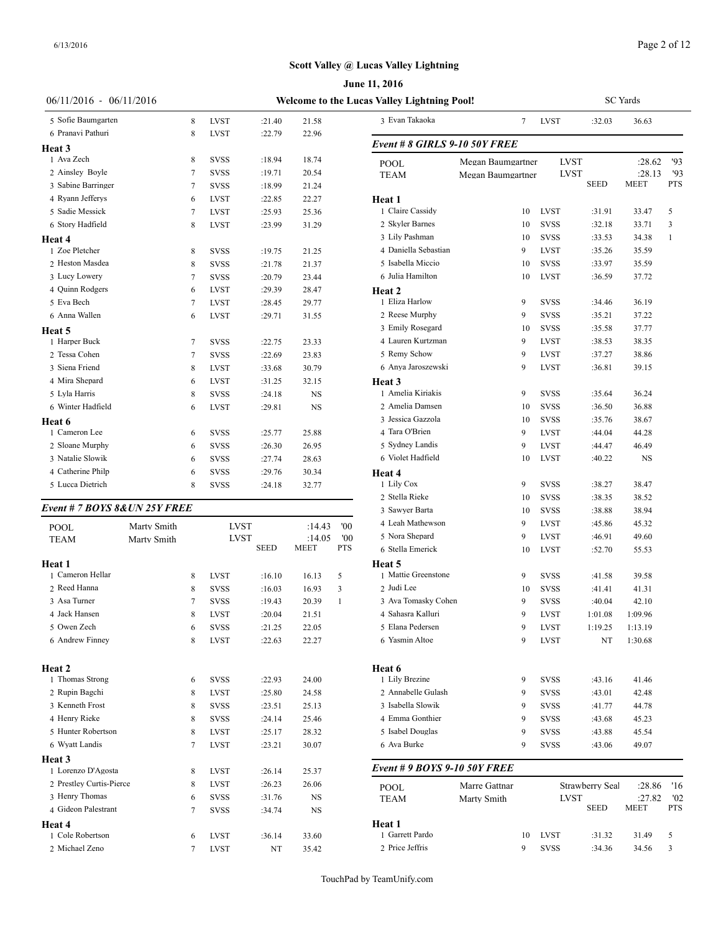6/13/2016

## **Scott Valley @ Lucas Valley Lightning**

| $06/11/2016 - 06/11/2016$     |             |                |                            |                  |                |            | Welcome to the Lucas Valley Lightning Pool! |                   |                            |                            |                 | <b>SC</b> Yards       |            |
|-------------------------------|-------------|----------------|----------------------------|------------------|----------------|------------|---------------------------------------------|-------------------|----------------------------|----------------------------|-----------------|-----------------------|------------|
| 5 Sofie Baumgarten            |             | 8              | <b>LVST</b>                | :21.40           | 21.58          |            | 3 Evan Takaoka                              | $\tau$            | LVST                       |                            | :32.03          | 36.63                 |            |
| 6 Pranavi Pathuri             |             | 8              | <b>LVST</b>                | :22.79           | 22.96          |            | Event # 8 GIRLS 9-10 50Y FREE               |                   |                            |                            |                 |                       |            |
| <b>Heat 3</b><br>1 Ava Zech   |             | 8              |                            |                  |                |            |                                             |                   |                            |                            |                 |                       |            |
| 2 Ainsley Boyle               |             | $\overline{7}$ | <b>SVSS</b><br><b>SVSS</b> | :18.94<br>:19.71 | 18.74<br>20.54 |            | <b>POOL</b>                                 | Megan Baumgartner |                            | <b>LVST</b><br><b>LVST</b> |                 | :28.62                | 93<br>'93  |
| 3 Sabine Barringer            |             | 7              | <b>SVSS</b>                | :18.99           | 21.24          |            | <b>TEAM</b>                                 | Megan Baumgartner |                            |                            | <b>SEED</b>     | :28.13<br><b>MEET</b> | <b>PTS</b> |
| 4 Ryann Jefferys              |             | 6              | <b>LVST</b>                | :22.85           | 22.27          |            |                                             |                   |                            |                            |                 |                       |            |
| 5 Sadie Messick               |             | 7              | <b>LVST</b>                | :25.93           | 25.36          |            | Heat 1<br>1 Claire Cassidy                  | 10                | <b>LVST</b>                |                            | :31.91          | 33.47                 | 5          |
| 6 Story Hadfield              |             | 8              | <b>LVST</b>                | :23.99           | 31.29          |            | 2 Skyler Barnes                             | 10                | <b>SVSS</b>                |                            | :32.18          | 33.71                 | 3          |
| Heat 4                        |             |                |                            |                  |                |            | 3 Lily Pashman                              | 10                | <b>SVSS</b>                |                            | :33.53          | 34.38                 | 1          |
| 1 Zoe Pletcher                |             | 8              | <b>SVSS</b>                | :19.75           | 21.25          |            | 4 Daniella Sebastian                        | 9                 | <b>LVST</b>                |                            | :35.26          | 35.59                 |            |
| 2 Heston Masdea               |             | 8              | <b>SVSS</b>                | :21.78           | 21.37          |            | 5 Isabella Miccio                           | 10                | <b>SVSS</b>                |                            | :33.97          | 35.59                 |            |
| 3 Lucy Lowery                 |             | 7              | <b>SVSS</b>                | :20.79           | 23.44          |            | 6 Julia Hamilton                            | 10                | <b>LVST</b>                |                            | :36.59          | 37.72                 |            |
| 4 Quinn Rodgers               |             | 6              | <b>LVST</b>                | :29.39           | 28.47          |            | Heat 2                                      |                   |                            |                            |                 |                       |            |
| 5 Eva Bech                    |             | 7              | <b>LVST</b>                | :28.45           | 29.77          |            | 1 Eliza Harlow                              | 9                 | <b>SVSS</b>                |                            | :34.46          | 36.19                 |            |
| 6 Anna Wallen                 |             | 6              | <b>LVST</b>                | :29.71           | 31.55          |            | 2 Reese Murphy                              | 9                 | <b>SVSS</b>                |                            | :35.21          | 37.22                 |            |
| Heat 5                        |             |                |                            |                  |                |            | 3 Emily Rosegard                            | 10                | <b>SVSS</b>                |                            | :35.58          | 37.77                 |            |
| 1 Harper Buck                 |             | 7              | <b>SVSS</b>                | :22.75           | 23.33          |            | 4 Lauren Kurtzman                           | 9                 | <b>LVST</b>                |                            | :38.53          | 38.35                 |            |
| 2 Tessa Cohen                 |             | 7              | <b>SVSS</b>                | :22.69           | 23.83          |            | 5 Remy Schow                                | 9                 | <b>LVST</b>                |                            | :37.27          | 38.86                 |            |
| 3 Siena Friend                |             | 8              | <b>LVST</b>                | :33.68           | 30.79          |            | 6 Anya Jaroszewski                          | 9                 | <b>LVST</b>                |                            | :36.81          | 39.15                 |            |
| 4 Mira Shepard                |             | 6              | <b>LVST</b>                | :31.25           | 32.15          |            | Heat 3                                      |                   |                            |                            |                 |                       |            |
| 5 Lyla Harris                 |             | 8              | <b>SVSS</b>                | :24.18           | <b>NS</b>      |            | 1 Amelia Kiriakis                           | 9                 | <b>SVSS</b>                |                            | :35.64          | 36.24                 |            |
| 6 Winter Hadfield             |             | 6              | <b>LVST</b>                | :29.81           | <b>NS</b>      |            | 2 Amelia Damsen                             | 10                | <b>SVSS</b>                |                            | :36.50          | 36.88                 |            |
| Heat 6                        |             |                |                            |                  |                |            | 3 Jessica Gazzola                           | 10                | <b>SVSS</b>                |                            | :35.76          | 38.67                 |            |
| 1 Cameron Lee                 |             | 6              | <b>SVSS</b>                | :25.77           | 25.88          |            | 4 Tara O'Brien                              | 9                 | <b>LVST</b>                |                            | :44.04          | 44.28                 |            |
| 2 Sloane Murphy               |             | 6              | <b>SVSS</b>                | :26.30           | 26.95          |            | 5 Sydney Landis                             | 9                 | <b>LVST</b>                |                            | :44.47          | 46.49                 |            |
| 3 Natalie Slowik              |             | 6              | <b>SVSS</b>                | :27.74           | 28.63          |            | 6 Violet Hadfield                           | 10                | LVST                       |                            | :40.22          | NS                    |            |
| 4 Catherine Philp             |             | 6              | <b>SVSS</b>                | :29.76           | 30.34          |            | Heat 4                                      |                   |                            |                            |                 |                       |            |
| 5 Lucca Dietrich              |             | 8              | <b>SVSS</b>                | :24.18           | 32.77          |            | 1 Lily Cox                                  | 9                 | <b>SVSS</b>                |                            | :38.27          | 38.47                 |            |
|                               |             |                |                            |                  |                |            | 2 Stella Rieke                              | 10                | <b>SVSS</b>                |                            | :38.35          | 38.52                 |            |
| Event # 7 BOYS 8&UN 25Y FREE  |             |                |                            |                  |                |            | 3 Sawyer Barta                              | 10                | <b>SVSS</b>                |                            | :38.88          | 38.94                 |            |
| POOL                          | Marty Smith |                | <b>LVST</b>                |                  | :14.43         | '00        | 4 Leah Mathewson                            | 9                 | <b>LVST</b>                |                            | :45.86          | 45.32                 |            |
| <b>TEAM</b>                   | Marty Smith |                | <b>LVST</b>                |                  | :14.05         | '00        | 5 Nora Shepard                              | 9                 | <b>LVST</b>                |                            | :46.91          | 49.60                 |            |
|                               |             |                |                            | <b>SEED</b>      | <b>MEET</b>    | <b>PTS</b> | 6 Stella Emerick                            | 10                | <b>LVST</b>                |                            | :52.70          | 55.53                 |            |
| Heat 1                        |             |                |                            |                  |                |            | Heat 5                                      |                   |                            |                            |                 |                       |            |
| 1 Cameron Hellar              |             | 8              | <b>LVST</b>                | :16.10           | 16.13          | 5          | 1 Mattie Greenstone                         | 9                 | <b>SVSS</b>                |                            | :41.58          | 39.58                 |            |
| 2 Reed Hanna                  |             | 8              | <b>SVSS</b>                | :16.03           | 16.93          | 3          | 2 Judi Lee                                  | 10                | <b>SVSS</b>                |                            | :41.41          | 41.31                 |            |
| 3 Asa Turner<br>4 Jack Hansen |             |                | SVSS                       | :19.43           | 20.39          |            | 3 Ava Tomasky Cohen<br>4 Sahasra Kalluri    | 9                 | <b>SVSS</b>                |                            | :40.04          | 42.10                 |            |
| 5 Owen Zech                   |             | 8              | <b>LVST</b><br><b>SVSS</b> | :20.04           | 21.51          |            | 5 Elana Pedersen                            | 9<br>9            | <b>LVST</b><br><b>LVST</b> |                            | 1:01.08         | 1:09.96               |            |
| 6 Andrew Finney               |             | 6<br>8         | <b>LVST</b>                | :21.25<br>:22.63 | 22.05<br>22.27 |            | 6 Yasmin Altoe                              | 9                 | <b>LVST</b>                |                            | 1:19.25<br>NT   | 1:13.19<br>1:30.68    |            |
|                               |             |                |                            |                  |                |            |                                             |                   |                            |                            |                 |                       |            |
| Heat 2                        |             |                |                            |                  |                |            | Heat 6                                      |                   |                            |                            |                 |                       |            |
| 1 Thomas Strong               |             | 6              | <b>SVSS</b>                | :22.93           | 24.00          |            | 1 Lily Brezine                              | 9                 | <b>SVSS</b>                |                            | :43.16          | 41.46                 |            |
| 2 Rupin Bagchi                |             | 8              | LVST                       | :25.80           | 24.58          |            | 2 Annabelle Gulash                          | 9                 | <b>SVSS</b>                |                            | :43.01          | 42.48                 |            |
| 3 Kenneth Frost               |             | 8              | SVSS                       | :23.51           | 25.13          |            | 3 Isabella Slowik                           | 9                 | <b>SVSS</b>                |                            | :41.77          | 44.78                 |            |
| 4 Henry Rieke                 |             | 8              | SVSS                       | :24.14           | 25.46          |            | 4 Emma Gonthier                             | 9                 | <b>SVSS</b>                |                            | :43.68          | 45.23                 |            |
| 5 Hunter Robertson            |             | 8              | <b>LVST</b>                | :25.17           | 28.32          |            | 5 Isabel Douglas                            | 9                 | <b>SVSS</b>                |                            | :43.88          | 45.54                 |            |
| 6 Wyatt Landis                |             | 7              | <b>LVST</b>                | :23.21           | 30.07          |            | 6 Ava Burke                                 | 9                 | <b>SVSS</b>                |                            | :43.06          | 49.07                 |            |
| Heat 3                        |             |                |                            |                  |                |            |                                             |                   |                            |                            |                 |                       |            |
| 1 Lorenzo D'Agosta            |             | 8              | LVST                       | :26.14           | 25.37          |            | Event # 9 BOYS 9-10 50Y FREE                |                   |                            |                            |                 |                       |            |
| 2 Prestley Curtis-Pierce      |             | 8              | LVST                       | :26.23           | 26.06          |            | <b>POOL</b>                                 | Marre Gattnar     |                            |                            | Strawberry Seal | :28.86                | '16        |
| 3 Henry Thomas                |             | 6              | SVSS                       | :31.76           | NS             |            | <b>TEAM</b>                                 | Marty Smith       |                            | <b>LVST</b>                |                 | :27.82                | '02        |
| 4 Gideon Palestrant           |             | 7              | SVSS                       | :34.74           | NS             |            |                                             |                   |                            |                            | <b>SEED</b>     | MEET                  | PTS        |
| Heat 4                        |             |                |                            |                  |                |            | Heat 1                                      |                   |                            |                            |                 |                       |            |
| 1 Cole Robertson              |             | 6              | <b>LVST</b>                | :36.14           | 33.60          |            | 1 Garrett Pardo                             | 10                | <b>LVST</b>                |                            | :31.32          | 31.49                 | 5          |
|                               |             |                | LVST                       | NT               | 35.42          |            | 2 Price Jeffris                             | 9                 |                            | SVSS                       | :34.36          | 34.56                 | 3          |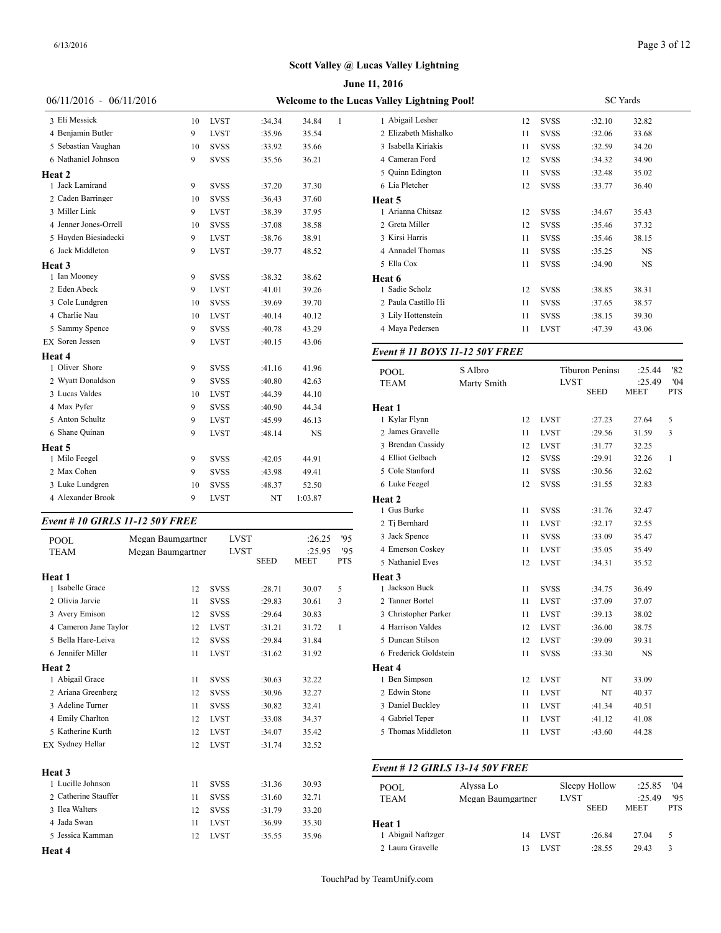**June 11, 2016**

| 06/11/2016 - 06/11/2016         |                   |             |        |           |              | Welcome to the Lucas Valley Lightning Pool! |             |    |
|---------------------------------|-------------------|-------------|--------|-----------|--------------|---------------------------------------------|-------------|----|
| 3 Eli Messick                   | 10                | <b>LVST</b> | :34.34 | 34.84     | $\mathbf{1}$ | 1 Abigail Lesher                            |             | 12 |
| 4 Benjamin Butler               | 9                 | <b>LVST</b> | :35.96 | 35.54     |              | 2 Elizabeth Mishalko                        |             | 11 |
| 5 Sebastian Vaughan             | 10                | <b>SVSS</b> | :33.92 | 35.66     |              | 3 Isabella Kiriakis                         |             | 11 |
| 6 Nathaniel Johnson             | 9                 | <b>SVSS</b> | :35.56 | 36.21     |              | 4 Cameran Ford                              |             | 12 |
| Heat 2                          |                   |             |        |           |              | 5 Ouinn Edington                            |             | 11 |
| 1 Jack Lamirand                 | 9                 | <b>SVSS</b> | :37.20 | 37.30     |              | 6 Lia Pletcher                              |             | 12 |
| 2 Caden Barringer               | 10                | <b>SVSS</b> | :36.43 | 37.60     |              | Heat 5                                      |             |    |
| 3 Miller Link                   | 9                 | <b>LVST</b> | :38.39 | 37.95     |              | 1 Arianna Chitsaz                           |             | 12 |
| 4 Jenner Jones-Orrell           | 10                | <b>SVSS</b> | :37.08 | 38.58     |              | 2 Greta Miller                              |             | 12 |
| 5 Hayden Biesiadecki            | 9                 | <b>LVST</b> | :38.76 | 38.91     |              | 3 Kirsi Harris                              |             | 11 |
| 6 Jack Middleton                | 9                 | <b>LVST</b> | :39.77 | 48.52     |              | 4 Annadel Thomas                            |             | 11 |
| Heat 3                          |                   |             |        |           |              | 5 Ella Cox                                  |             | 11 |
| 1 Ian Mooney                    | 9                 | <b>SVSS</b> | :38.32 | 38.62     |              | Heat 6                                      |             |    |
| 2 Eden Abeck                    | 9                 | <b>LVST</b> | :41.01 | 39.26     |              | 1 Sadie Scholz                              |             | 12 |
| 3 Cole Lundgren                 | 10                | <b>SVSS</b> | :39.69 | 39.70     |              | 2 Paula Castillo Hi                         |             | 11 |
| 4 Charlie Nau                   | 10                | <b>LVST</b> | :40.14 | 40.12     |              | 3 Lily Hottenstein                          |             | 11 |
| 5 Sammy Spence                  | 9                 | <b>SVSS</b> | :40.78 | 43.29     |              | 4 Maya Pedersen                             |             | 11 |
| <b>EX Soren Jessen</b>          | 9                 | <b>LVST</b> | :40.15 | 43.06     |              |                                             |             |    |
| Heat 4                          |                   |             |        |           |              | Event # 11 BOYS 11-12 50Y FREE              |             |    |
| 1 Oliver Shore                  | 9                 | <b>SVSS</b> | :41.16 | 41.96     |              | <b>POOL</b>                                 | S Albro     |    |
| 2 Wyatt Donaldson               | 9                 | <b>SVSS</b> | :40.80 | 42.63     |              | <b>TEAM</b>                                 | Marty Smith |    |
| 3 Lucas Valdes                  | 10                | <b>LVST</b> | :44.39 | 44.10     |              |                                             |             |    |
| 4 Max Pyfer                     | 9                 | <b>SVSS</b> | :40.90 | 44.34     |              | Heat 1                                      |             |    |
| 5 Anton Schultz                 | 9                 | <b>LVST</b> | :45.99 | 46.13     |              | 1 Kylar Flynn                               |             | 12 |
| 6 Shane Quinan                  | 9                 | <b>LVST</b> | :48.14 | <b>NS</b> |              | 2 James Gravelle                            |             | 11 |
| Heat 5                          |                   |             |        |           |              | 3 Brendan Cassidy                           |             | 12 |
| 1 Milo Feegel                   | 9                 | <b>SVSS</b> | :42.05 | 44.91     |              | 4 Elliot Gelbach                            |             | 12 |
| 2 Max Cohen                     | 9                 | <b>SVSS</b> | :43.98 | 49.41     |              | 5 Cole Stanford                             |             | 11 |
| 3 Luke Lundgren                 | 10                | <b>SVSS</b> | :48.37 | 52.50     |              | 6 Luke Feegel                               |             | 12 |
| 4 Alexander Brook               | 9                 | <b>LVST</b> | NT     | 1:03.87   |              | Heat 2                                      |             |    |
|                                 |                   |             |        |           |              | 1 Gus Burke                                 |             | 11 |
| Event # 10 GIRLS 11-12 50Y FREE |                   |             |        |           |              | 2 Tj Bernhard                               |             | 11 |
| <b>POOL</b>                     | Megan Baumgartner | <b>LVST</b> |        | :26.25    | 95           | 3 Jack Spence                               |             | 11 |
| <b>TEAM</b>                     | Megan Baumgartner | <b>LVST</b> |        | :25.95    | 95           | 4 Emerson Coskey                            |             | 11 |

| POOL                  | Nicgali Dauliigaluici | الات        |             | ر∠.ں∠. | フコ           |                            |
|-----------------------|-----------------------|-------------|-------------|--------|--------------|----------------------------|
| <b>TEAM</b>           | Megan Baumgartner     | <b>LVST</b> |             | :25.95 | 95           | 4 Emerson Coskey           |
|                       |                       |             | <b>SEED</b> | MEET   | <b>PTS</b>   | 5 Nathaniel Eves           |
| Heat 1                |                       |             |             |        |              | Heat 3                     |
| 1 Isabelle Grace      | 12                    | <b>SVSS</b> | :28.71      | 30.07  | 5            | 1 Jackson Buck             |
| 2 Olivia Jarvie       | 11                    | <b>SVSS</b> | :29.83      | 30.61  | 3            | 2 Tanner Bortel            |
| 3 Avery Emison        | 12                    | <b>SVSS</b> | :29.64      | 30.83  |              | 3 Christopher Parl         |
| 4 Cameron Jane Taylor | 12                    | <b>LVST</b> | :31.21      | 31.72  | $\mathbf{1}$ | 4 Harrison Valdes          |
| 5 Bella Hare-Leiva    | 12                    | <b>SVSS</b> | :29.84      | 31.84  |              | 5 Duncan Stilson           |
| 6 Jennifer Miller     | 11                    | <b>LVST</b> | :31.62      | 31.92  |              | 6 Frederick Golds          |
| Heat 2                |                       |             |             |        |              | Heat 4                     |
| 1 Abigail Grace       | 11                    | <b>SVSS</b> | :30.63      | 32.22  |              | 1 Ben Simpson              |
| 2 Ariana Greenberg    | 12                    | <b>SVSS</b> | :30.96      | 32.27  |              | 2 Edwin Stone              |
| 3 Adeline Turner      | 11                    | <b>SVSS</b> | :30.82      | 32.41  |              | 3 Daniel Buckley           |
| 4 Emily Charlton      | 12                    | <b>LVST</b> | :33.08      | 34.37  |              | 4 Gabriel Teper            |
| 5 Katherine Kurth     | 12                    | <b>LVST</b> | :34.07      | 35.42  |              | 5 Thomas Middlet           |
| EX Sydney Hellar      | 12                    | <b>LVST</b> | :31.74      | 32.52  |              |                            |
| Heat 3                |                       |             |             |        |              | Event # 12 GIRI            |
| 1 Lucille Johnson     | 11                    | <b>SVSS</b> | :31.36      | 30.93  |              |                            |
| 2 Catherine Stauffer  | 11                    | <b>SVSS</b> | :31.60      | 32.71  |              | <b>POOL</b><br><b>TEAM</b> |
| 3 Ilea Walters        | 12                    | <b>SVSS</b> | :31.79      | 33.20  |              |                            |
| 4 Jada Swan           | 11                    | <b>LVST</b> | :36.99      | 35.30  |              | Heat 1                     |
| 5 Jessica Kamman      | 12                    | <b>LVST</b> | :35.55      | 35.96  |              | 1 Abigail Naftzge          |
| Heat 4                |                       |             |             |        |              | 2 Laura Gravelle           |
|                       |                       |             |             |        |              |                            |

| 11, 2016                        |             |    |             |                        |                 |            |
|---------------------------------|-------------|----|-------------|------------------------|-----------------|------------|
| s Valley Lightning Pool!        |             |    |             |                        | <b>SC</b> Yards |            |
| 1 Abigail Lesher                |             | 12 | <b>SVSS</b> | :32.10                 | 32.82           |            |
| 2 Elizabeth Mishalko            |             | 11 | <b>SVSS</b> | :32.06                 | 33.68           |            |
| 3 Isabella Kiriakis             |             | 11 | <b>SVSS</b> | :32.59                 | 34.20           |            |
| 4 Cameran Ford                  |             | 12 | <b>SVSS</b> | :34.32                 | 34.90           |            |
| 5 Quinn Edington                |             | 11 | <b>SVSS</b> | :32.48                 | 35.02           |            |
| 6 Lia Pletcher                  |             | 12 | <b>SVSS</b> | :33.77                 | 36.40           |            |
| Heat 5                          |             |    |             |                        |                 |            |
| 1 Arianna Chitsaz               |             | 12 | <b>SVSS</b> | :34.67                 | 35.43           |            |
| 2 Greta Miller                  |             | 12 | <b>SVSS</b> | :35.46                 | 37.32           |            |
| 3 Kirsi Harris                  |             | 11 | <b>SVSS</b> | :35.46                 | 38.15           |            |
| 4 Annadel Thomas                |             | 11 | <b>SVSS</b> | :35.25                 | NS              |            |
| 5 Ella Cox                      |             | 11 | SVSS        | :34.90                 | NS              |            |
| Heat 6                          |             |    |             |                        |                 |            |
| 1 Sadie Scholz                  |             | 12 | <b>SVSS</b> | :38.85                 | 38.31           |            |
| 2 Paula Castillo Hi             |             | 11 | <b>SVSS</b> | :37.65                 | 38.57           |            |
| 3 Lily Hottenstein              |             | 11 | <b>SVSS</b> | :38.15                 | 39.30           |            |
| 4 Maya Pedersen                 |             | 11 | LVST        | :47.39                 | 43.06           |            |
| Event # 11 BOYS 11-12 50Y FREE  |             |    |             |                        |                 |            |
| POOL                            | S Albro     |    |             | <b>Tiburon Peninsi</b> | :25.44          | '82        |
| <b>TEAM</b>                     | Marty Smith |    |             | <b>LVST</b>            | :25.49          | '04        |
|                                 |             |    |             | SEED                   | <b>MEET</b>     | <b>PTS</b> |
| Heat 1<br>1 Kylar Flynn         |             |    |             |                        |                 |            |
|                                 |             | 12 | <b>LVST</b> | :27.23                 | 27.64           | 5          |
| 2 James Gravelle                |             | 11 | <b>LVST</b> | :29.56                 | 31.59           | 3          |
| 3 Brendan Cassidy               |             | 12 | LVST        | :31.77                 | 32.25           |            |
| 4 Elliot Gelbach                |             | 12 | <b>SVSS</b> | :29.91                 | 32.26           | 1          |
| 5 Cole Stanford                 |             | 11 | <b>SVSS</b> | :30.56                 | 32.62           |            |
| 6 Luke Feegel                   |             | 12 | <b>SVSS</b> | :31.55                 | 32.83           |            |
| <b>Heat 2</b><br>1 Gus Burke    |             | 11 | <b>SVSS</b> | :31.76                 | 32.47           |            |
| 2 Tj Bernhard                   |             | 11 | LVST        | :32.17                 | 32.55           |            |
| 3 Jack Spence                   |             | 11 | <b>SVSS</b> |                        | 35.47           |            |
| 4 Emerson Coskey                |             | 11 | LVST        | :33.09<br>:35.05       | 35.49           |            |
| 5 Nathaniel Eves                |             | 12 | LVST        | :34.31                 | 35.52           |            |
|                                 |             |    |             |                        |                 |            |
| Heat 3<br>1 Jackson Buck        |             | 11 | <b>SVSS</b> | :34.75                 | 36.49           |            |
| 2 Tanner Bortel                 |             | 11 | <b>LVST</b> | :37.09                 | 37.07           |            |
| 3 Christopher Parker            |             | 11 | LVST        | :39.13                 | 38.02           |            |
| 4 Harrison Valdes               |             | 12 | LVST        | :36.00                 | 38.75           |            |
| 5 Duncan Stilson                |             | 12 | LVST        | :39.09                 | 39.31           |            |
| 6 Frederick Goldstein           |             | 11 | <b>SVSS</b> | :33.30                 | NS              |            |
| Heat 4                          |             |    |             |                        |                 |            |
| 1 Ben Simpson                   |             | 12 | LVST        | NT                     | 33.09           |            |
| 2 Edwin Stone                   |             | 11 | LVST        | NT                     | 40.37           |            |
| 3 Daniel Buckley                |             | 11 | LVST        | :41.34                 | 40.51           |            |
| 4 Gabriel Teper                 |             | 11 | LVST        | :41.12                 | 41.08           |            |
| 5 Thomas Middleton              |             | 11 | LVST        | :43.60                 | 44.28           |            |
|                                 |             |    |             |                        |                 |            |
| Event # 12 GIRLS 13-14 50Y FREE |             |    |             |                        |                 |            |
|                                 | Alyssa Lo   |    |             | Sleepy Hollow          | :25.85          | '04        |
| POOL                            |             |    |             |                        |                 |            |

| <b>LOOP</b>        |                   |             | $51550 + 110110 + 7$ | $- - - -$   |            |  |
|--------------------|-------------------|-------------|----------------------|-------------|------------|--|
| <b>TEAM</b>        | Megan Baumgartner | <b>LVST</b> |                      | :25.49      | 95         |  |
|                    |                   |             | <b>SEED</b>          | <b>MEET</b> | <b>PTS</b> |  |
| Heat 1             |                   |             |                      |             |            |  |
| 1 Abigail Naftzger | 14                | <b>LVST</b> | :26.84               | 27.04       | 5          |  |
| 2 Laura Gravelle   | 13                | <b>LVST</b> | :28.55               | 29.43       | 3          |  |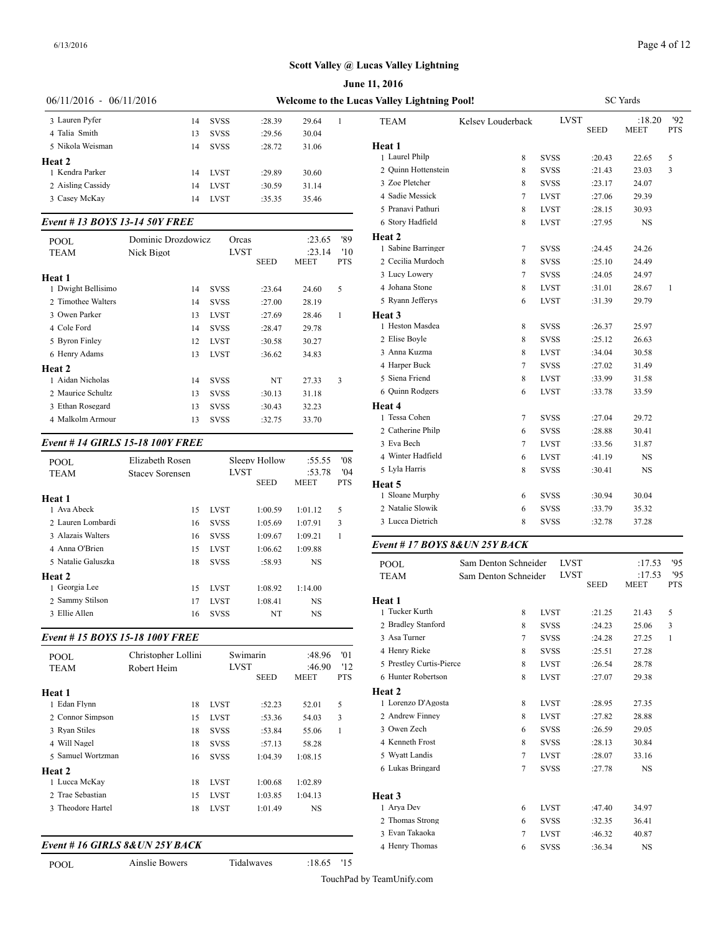|                           |             |        | June 11, 2016 |    |                                        |  |  |
|---------------------------|-------------|--------|---------------|----|----------------------------------------|--|--|
| $06/11/2016 - 06/11/2016$ |             |        |               |    |                                        |  |  |
| 14                        | <b>SVSS</b> | :28.39 | 29.64         | -1 | <b>TEAM</b>                            |  |  |
| 13                        | <b>SVSS</b> | :29.56 | 30.04         |    |                                        |  |  |
| 14                        | <b>SVSS</b> | :28.72 | 31.06         |    | Heat 1                                 |  |  |
|                           |             |        |               |    | 1 Laurel Ph                            |  |  |
| 14                        | <b>LVST</b> | :29.89 | 30.60         |    | 2 Quinn Ho                             |  |  |
| 14                        | <b>LVST</b> | :30.59 | 31.14         |    | 3 Zoe Pletc                            |  |  |
| 14                        | <b>LVST</b> | :35.35 | 35.46         |    | 4 Sadie Me                             |  |  |
|                           |             |        |               |    | <b>Welcome to the Lucas Valley Lig</b> |  |  |

### *Event # 13 BOYS 13-14 50Y FREE*

| POOL<br><b>TEAM</b> | Dominic Drozdowicz<br>Nick Bigot | Orcas<br><b>LVST</b> | <b>SEED</b> | :23.65<br>: 23.14<br>MEET | '89<br>'10<br><b>PTS</b> | Heat 2<br>1 Sabine Barringe<br>2 Cecilia Murdocl |
|---------------------|----------------------------------|----------------------|-------------|---------------------------|--------------------------|--------------------------------------------------|
| Heat 1              |                                  |                      |             |                           |                          | 3 Lucy Lowery                                    |
| 1 Dwight Bellisimo  | 14                               | <b>SVSS</b>          | :23.64      | 24.60                     | 5                        | 4 Johana Stone                                   |
| 2 Timothee Walters  | 14                               | <b>SVSS</b>          | :27.00      | 28.19                     |                          | 5 Ryann Jefferys                                 |
| 3 Owen Parker       | 13                               | <b>LVST</b>          | :27.69      | 28.46                     | 1                        | Heat 3                                           |
| 4 Cole Ford         | 14                               | <b>SVSS</b>          | :28.47      | 29.78                     |                          | 1 Heston Masdea                                  |
| 5 Byron Finley      | 12                               | <b>LVST</b>          | :30.58      | 30.27                     |                          | 2 Elise Boyle                                    |
| 6 Henry Adams       | 13                               | <b>LVST</b>          | :36.62      | 34.83                     |                          | 3 Anna Kuzma                                     |
| Heat 2              |                                  |                      |             |                           |                          | 4 Harper Buck                                    |
| 1 Aidan Nicholas    | 14                               | <b>SVSS</b>          | NT          | 27.33                     | 3                        | 5 Siena Friend                                   |
| 2 Maurice Schultz   | 13                               | <b>SVSS</b>          | :30.13      | 31.18                     |                          | 6 Ouinn Rodgers                                  |
| 3 Ethan Rosegard    | 13                               | <b>SVSS</b>          | :30.43      | 32.23                     |                          | <b>Heat 4</b>                                    |
| 4 Malkolm Armour    | 13                               | <b>SVSS</b>          | :32.75      | 33.70                     |                          | 1 Tessa Cohen                                    |
|                     |                                  |                      |             |                           |                          |                                                  |

### *Event # 14 GIRLS 15-18 100Y FREE*

| POOL<br><b>TEAM</b> | Elizabeth Rosen<br><b>Stacey Sorensen</b> | <b>LVST</b> | Sleepy Hollow | :55.55<br>:53.78 | '08<br>04' | 4 Winter Hadfield<br>5 Lyla Harris                     |
|---------------------|-------------------------------------------|-------------|---------------|------------------|------------|--------------------------------------------------------|
| Heat 1              |                                           |             | <b>SEED</b>   | MEET             | <b>PTS</b> | Heat 5<br>1 Sloane Murphy                              |
| 1 Ava Abeck         | 15                                        | <b>LVST</b> | 1:00.59       | 1:01.12          | 5          | 2 Natalie Slowik                                       |
| 2 Lauren Lombardi   | 16                                        | <b>SVSS</b> | 1:05.69       | 1:07.91          | 3          | 3 Lucca Dietrich                                       |
| 3 Alazais Walters   | 16                                        | <b>SVSS</b> | 1:09.67       | 1:09.21          | 1          |                                                        |
| 4 Anna O'Brien      | 15                                        | <b>LVST</b> | 1:06.62       | 1:09.88          |            | Event # $17 BOY$                                       |
| 5 Natalie Galuszka  | 18                                        | <b>SVSS</b> | :58.93        | NS               |            | POOL                                                   |
| Heat 2              |                                           |             |               |                  |            | <b>TEAM</b>                                            |
| 1 Georgia Lee       | 15                                        | <b>LVST</b> | 1:08.92       | 1:14.00          |            |                                                        |
| 2 Sammy Stilson     | 17                                        | <b>LVST</b> | 1:08.41       | <b>NS</b>        |            | Heat 1                                                 |
| 3 Ellie Allen       | 16                                        | <b>SVSS</b> | NT            | NS.              |            | 1 Tucker Kurth                                         |
|                     |                                           |             |               |                  |            | $\cap$ D <sub>rap</sub> J <sub>1</sub> $C_{+}$ $C_{-}$ |

### *Event # 15 BOYS 15-18 100Y FREE*

| <b>POOL</b>                                            | Christopher Lollini |             | Swimarin    | :48.96      | '01        | 4 Henry Rieke                              |
|--------------------------------------------------------|---------------------|-------------|-------------|-------------|------------|--------------------------------------------|
| <b>TEAM</b>                                            | Robert Heim         | <b>LVST</b> |             | :46.90      | '12        | 5 Prestley Curtis-I                        |
|                                                        |                     |             | <b>SEED</b> | <b>MEET</b> | <b>PTS</b> | 6 Hunter Robertsc                          |
| Heat 1                                                 |                     |             |             |             |            | Heat 2                                     |
| 1 Edan Flynn                                           | 18                  | <b>LVST</b> | :52.23      | 52.01       | 5          | 1 Lorenzo D'Agos                           |
| 2 Connor Simpson                                       | 15                  | <b>LVST</b> | :53.36      | 54.03       | 3          | 2 Andrew Finney                            |
| 3 Ryan Stiles                                          | 18                  | <b>SVSS</b> | :53.84      | 55.06       | 1          | 3 Owen Zech                                |
| 4 Will Nagel                                           | 18                  | <b>SVSS</b> | :57.13      | 58.28       |            | 4 Kenneth Frost                            |
| 5 Samuel Wortzman                                      | 16                  | <b>SVSS</b> | 1:04.39     | 1:08.15     |            | 5 Wyatt Landis                             |
| Heat 2                                                 |                     |             |             |             |            | 6 Lukas Bringard                           |
| 1 Lucca McKay                                          | 18                  | <b>LVST</b> | 1:00.68     | 1:02.89     |            |                                            |
| 2 Trae Sebastian                                       | 15                  | <b>LVST</b> | 1:03.85     | 1:04.13     |            | Heat 3                                     |
| 3 Theodore Hartel                                      | 18                  | <b>LVST</b> | 1:01.49     | <b>NS</b>   |            | 1 Arya Dev                                 |
|                                                        |                     |             |             |             |            | 2 Thomas Strong                            |
|                                                        |                     |             |             |             |            | 3 Evan Takaoka                             |
| $E_{\text{test}}$ # 16 $C$ IDI C 9 0.1IM 25V D 4 $C$ V |                     |             |             |             |            | $1$ $\mathbf{H}$ $\mathbf{H}$ $\mathbf{H}$ |

### *Event # 16 GIRLS 8&UN 25Y BACK*

POOL Ainslie Bowers Tidalwaves :18.65 '15

| as Valley Lightning Pool! | <b>SC</b> Yards   |                            |        |                       |                  |  |
|---------------------------|-------------------|----------------------------|--------|-----------------------|------------------|--|
| <b>TEAM</b>               | Kelsey Louderback | <b>LVST</b><br><b>SEED</b> |        | :18.20<br><b>MEET</b> | 92<br><b>PTS</b> |  |
| Heat 1                    |                   |                            |        |                       |                  |  |
| 1 Laurel Philp            | 8                 | <b>SVSS</b>                | :20.43 | 22.65                 | 5                |  |
| 2 Quinn Hottenstein       | 8                 | <b>SVSS</b>                | :21.43 | 23.03                 | 3                |  |
| 3 Zoe Pletcher            | 8                 | <b>SVSS</b>                | :23.17 | 24.07                 |                  |  |
| 4 Sadie Messick           | 7                 | <b>LVST</b>                | :27.06 | 29.39                 |                  |  |
| 5 Pranavi Pathuri         | 8                 | <b>LVST</b>                | :28.15 | 30.93                 |                  |  |
| 6 Story Hadfield          | 8                 | <b>LVST</b>                | :27.95 | <b>NS</b>             |                  |  |
| Heat 2                    |                   |                            |        |                       |                  |  |
| 1 Sabine Barringer        | 7                 | <b>SVSS</b>                | :24.45 | 24.26                 |                  |  |
| 2 Cecilia Murdoch         | 8                 | <b>SVSS</b>                | :25.10 | 24.49                 |                  |  |
| 3 Lucy Lowery             | 7                 | <b>SVSS</b>                | :24.05 | 24.97                 |                  |  |
| 4 Johana Stone            | 8                 | <b>LVST</b>                | :31.01 | 28.67                 | $\mathbf{1}$     |  |
| 5 Ryann Jefferys          | 6                 | <b>LVST</b>                | :31.39 | 29.79                 |                  |  |
| Heat 3                    |                   |                            |        |                       |                  |  |
| 1 Heston Masdea           | 8                 | <b>SVSS</b>                | :26.37 | 25.97                 |                  |  |
| 2 Elise Boyle             | 8                 | <b>SVSS</b>                | :25.12 | 26.63                 |                  |  |
| 3 Anna Kuzma              | 8                 | <b>LVST</b>                | :34.04 | 30.58                 |                  |  |
| 4 Harper Buck             | 7                 | <b>SVSS</b>                | :27.02 | 31.49                 |                  |  |
| 5 Siena Friend            | 8                 | <b>LVST</b>                | :33.99 | 31.58                 |                  |  |
| 6 Quinn Rodgers           | 6                 | <b>LVST</b>                | :33.78 | 33.59                 |                  |  |
| Heat 4                    |                   |                            |        |                       |                  |  |
| 1 Tessa Cohen             | $\tau$            | <b>SVSS</b>                | :27.04 | 29.72                 |                  |  |
| 2 Catherine Philp         | 6                 | <b>SVSS</b>                | :28.88 | 30.41                 |                  |  |
| 3 Eva Bech                | 7                 | <b>LVST</b>                | :33.56 | 31.87                 |                  |  |
| 4 Winter Hadfield         | 6                 | <b>LVST</b>                | :41.19 | NS                    |                  |  |
| 5 Lyla Harris             | 8                 | <b>SVSS</b>                | :30.41 | $_{\rm NS}$           |                  |  |
| Heat 5                    |                   |                            |        |                       |                  |  |
| 1 Sloane Murphy           | 6                 | <b>SVSS</b>                | :30.94 | 30.04                 |                  |  |
| 2 Natalie Slowik          | 6                 | <b>SVSS</b>                | :33.79 | 35.32                 |                  |  |
| 3 Lucca Dietrich          | 8                 | <b>SVSS</b>                | :32.78 | 37.28                 |                  |  |

## *Event # 17 BOYS 8&UN 25Y BACK*

| <b>POOL</b>              | Sam Denton Schneider | <b>LVST</b> |             | :17.53                | 95               |
|--------------------------|----------------------|-------------|-------------|-----------------------|------------------|
| TEAM                     | Sam Denton Schneider | <b>LVST</b> | <b>SEED</b> | :17.53<br><b>MEET</b> | 95<br><b>PTS</b> |
| Heat 1                   |                      |             |             |                       |                  |
| 1 Tucker Kurth           | 8                    | <b>LVST</b> | :21.25      | 21.43                 | 5                |
| 2 Bradley Stanford       | 8                    | <b>SVSS</b> | :24.23      | 25.06                 | 3                |
| 3 Asa Turner             | 7                    | <b>SVSS</b> | :24.28      | 27.25                 | $\mathbf{1}$     |
| 4 Henry Rieke            | 8                    | <b>SVSS</b> | :25.51      | 27.28                 |                  |
| 5 Prestley Curtis-Pierce | 8                    | <b>LVST</b> | :26.54      | 28.78                 |                  |
| 6 Hunter Robertson       | 8                    | <b>LVST</b> | :27.07      | 29.38                 |                  |
| Heat 2                   |                      |             |             |                       |                  |
| 1 Lorenzo D'Agosta       | 8                    | <b>LVST</b> | :28.95      | 27.35                 |                  |
| 2 Andrew Finney          | 8                    | <b>LVST</b> | :27.82      | 28.88                 |                  |
| 3 Owen Zech              | 6                    | <b>SVSS</b> | :26.59      | 29.05                 |                  |
| 4 Kenneth Frost          | 8                    | <b>SVSS</b> | :28.13      | 30.84                 |                  |
| 5 Wyatt Landis           | 7                    | <b>LVST</b> | :28.07      | 33.16                 |                  |
| 6 Lukas Bringard         | 7                    | <b>SVSS</b> | :27.78      | NS                    |                  |
| <b>Heat 3</b>            |                      |             |             |                       |                  |
| 1 Arya Dev               | 6                    | <b>LVST</b> | :47.40      | 34.97                 |                  |
| 2 Thomas Strong          | 6                    | <b>SVSS</b> | :32.35      | 36.41                 |                  |
| 3 Evan Takaoka           | 7                    | <b>LVST</b> | :46.32      | 40.87                 |                  |
| 4 Henry Thomas           | 6                    | <b>SVSS</b> | :36.34      | <b>NS</b>             |                  |
|                          |                      |             |             |                       |                  |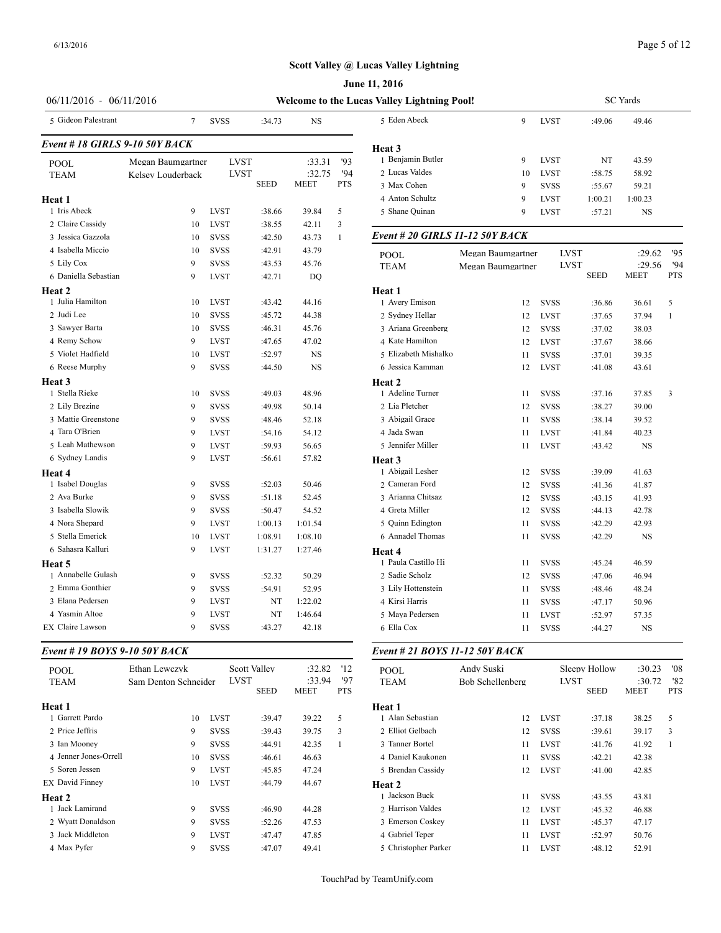| 06/11/2016 - 06/11/2016        |             |                                                                |                                                                       |                                       |                      |                                                                                                                                                                                                     |
|--------------------------------|-------------|----------------------------------------------------------------|-----------------------------------------------------------------------|---------------------------------------|----------------------|-----------------------------------------------------------------------------------------------------------------------------------------------------------------------------------------------------|
| $\tau$                         | <b>SVSS</b> | :34.73                                                         | <b>NS</b>                                                             |                                       | 5 Eden Abeck         | 9                                                                                                                                                                                                   |
| Event # 18 GIRLS 9-10 50Y BACK |             |                                                                |                                                                       |                                       |                      |                                                                                                                                                                                                     |
|                                |             |                                                                |                                                                       | '93                                   | 1 Benjamin Butler    | 9                                                                                                                                                                                                   |
| Kelsev Louderback              |             |                                                                | :32.75                                                                | 94                                    | 2 Lucas Valdes       | 10                                                                                                                                                                                                  |
|                                |             | <b>SEED</b>                                                    | <b>MEET</b>                                                           | <b>PTS</b>                            | 3 Max Cohen          | 9                                                                                                                                                                                                   |
|                                |             |                                                                |                                                                       |                                       | 4 Anton Schultz      | 9                                                                                                                                                                                                   |
| 9                              | <b>LVST</b> | :38.66                                                         | 39.84                                                                 | 5                                     | 5 Shane Quinan       | 9                                                                                                                                                                                                   |
| 10                             | <b>LVST</b> | :38.55                                                         | 42.11                                                                 | 3                                     |                      |                                                                                                                                                                                                     |
| 10                             | <b>SVSS</b> | :42.50                                                         | 43.73                                                                 | $\mathbf{1}$                          |                      |                                                                                                                                                                                                     |
| 10                             | <b>SVSS</b> | :42.91                                                         | 43.79                                                                 |                                       |                      | Megan Baumgartner                                                                                                                                                                                   |
| 9                              | <b>SVSS</b> | :43.53                                                         | 45.76                                                                 |                                       |                      | Megan Baumgartner                                                                                                                                                                                   |
| 9                              | <b>LVST</b> | :42.71                                                         | DO                                                                    |                                       |                      |                                                                                                                                                                                                     |
|                                |             |                                                                |                                                                       |                                       |                      |                                                                                                                                                                                                     |
| 10                             | <b>LVST</b> | :43.42                                                         | 44.16                                                                 |                                       | 1 Avery Emison       | 12                                                                                                                                                                                                  |
| 10                             | <b>SVSS</b> | :45.72                                                         | 44.38                                                                 |                                       | 2 Sydney Hellar      | 12                                                                                                                                                                                                  |
| 10                             | <b>SVSS</b> | :46.31                                                         | 45.76                                                                 |                                       | 3 Ariana Greenberg   | 12                                                                                                                                                                                                  |
| 9                              | <b>LVST</b> | :47.65                                                         | 47.02                                                                 |                                       | 4 Kate Hamilton      | 12                                                                                                                                                                                                  |
| 10                             | <b>LVST</b> | :52.97                                                         | NS                                                                    |                                       | 5 Elizabeth Mishalko | 11                                                                                                                                                                                                  |
| 9                              | <b>SVSS</b> | :44.50                                                         | <b>NS</b>                                                             |                                       | 6 Jessica Kamman     | 12                                                                                                                                                                                                  |
|                                |             |                                                                |                                                                       |                                       |                      |                                                                                                                                                                                                     |
| 10                             | <b>SVSS</b> | :49.03                                                         | 48.96                                                                 |                                       | 1 Adeline Turner     | 11                                                                                                                                                                                                  |
| 9                              | <b>SVSS</b> | :49.98                                                         | 50.14                                                                 |                                       | 2 Lia Pletcher       | 12                                                                                                                                                                                                  |
| 9                              | <b>SVSS</b> | :48.46                                                         | 52.18                                                                 |                                       | 3 Abigail Grace      | 11                                                                                                                                                                                                  |
| 9                              | <b>LVST</b> | :54.16                                                         | 54.12                                                                 |                                       | 4 Jada Swan          | 11                                                                                                                                                                                                  |
| 9                              | <b>LVST</b> | :59.93                                                         | 56.65                                                                 |                                       | 5 Jennifer Miller    | 11                                                                                                                                                                                                  |
| 9                              |             |                                                                |                                                                       |                                       |                      |                                                                                                                                                                                                     |
|                                |             |                                                                |                                                                       |                                       | 1 Abigail Lesher     | 12                                                                                                                                                                                                  |
| 9                              | <b>SVSS</b> | :52.03                                                         | 50.46                                                                 |                                       | 2 Cameran Ford       | 12                                                                                                                                                                                                  |
| 9                              | <b>SVSS</b> | :51.18                                                         | 52.45                                                                 |                                       | 3 Arianna Chitsaz    | 12                                                                                                                                                                                                  |
| 9                              | <b>SVSS</b> | :50.47                                                         | 54.52                                                                 |                                       | 4 Greta Miller       | 12                                                                                                                                                                                                  |
|                                |             |                                                                |                                                                       |                                       |                      | 11                                                                                                                                                                                                  |
| 10                             | <b>LVST</b> |                                                                | 1:08.10                                                               |                                       | 6 Annadel Thomas     | 11                                                                                                                                                                                                  |
| 9                              |             |                                                                |                                                                       |                                       |                      |                                                                                                                                                                                                     |
|                                |             |                                                                |                                                                       |                                       | 1 Paula Castillo Hi  | 11                                                                                                                                                                                                  |
| 9                              | <b>SVSS</b> | :52.32                                                         | 50.29                                                                 |                                       | 2 Sadie Scholz       | 12                                                                                                                                                                                                  |
| 9                              | <b>SVSS</b> | :54.91                                                         | 52.95                                                                 |                                       | 3 Lily Hottenstein   | 11                                                                                                                                                                                                  |
| 9                              | <b>LVST</b> | NT                                                             | 1:22.02                                                               |                                       | 4 Kirsi Harris       | 11                                                                                                                                                                                                  |
| 9                              | <b>LVST</b> | NT                                                             | 1:46.64                                                               |                                       | 5 Maya Pedersen      | 11                                                                                                                                                                                                  |
| 9                              | <b>SVSS</b> | :43.27                                                         | 42.18                                                                 |                                       | 6 Ella Cox           | 11                                                                                                                                                                                                  |
|                                | 9           | Megan Baumgartner<br><b>LVST</b><br><b>LVST</b><br><b>LVST</b> | <b>LVST</b><br><b>LVST</b><br>:56.61<br>1:00.13<br>1:08.91<br>1:31.27 | :33.31<br>57.82<br>1:01.54<br>1:27.46 |                      | June 11, 2016<br>Welcome to the Lucas Valley Lightning Pool!<br>Heat 3<br>Event # 20 GIRLS 11-12 50Y BACK<br><b>POOL</b><br><b>TEAM</b><br>Heat 1<br>Heat 2<br>Heat 3<br>5 Quinn Edington<br>Heat 4 |

## *Event # 19 BOYS 9-10 50Y BACK*

| POOL                  | Ethan Lewczyk        |             | <b>Scott Valley</b><br><b>LVST</b> | :32.82<br>:33.94 | '12<br>'97 | POOL               |
|-----------------------|----------------------|-------------|------------------------------------|------------------|------------|--------------------|
| <b>TEAM</b>           | Sam Denton Schneider |             | <b>SEED</b>                        | <b>MEET</b>      | <b>PTS</b> | <b>TEAM</b>        |
| Heat 1                |                      |             |                                    |                  |            | Heat 1             |
| 1 Garrett Pardo       | 10                   | <b>LVST</b> | :39.47                             | 39.22            | 5          | 1 Alan Sebastian   |
| 2 Price Jeffris       | 9                    | <b>SVSS</b> | :39.43                             | 39.75            | 3          | 2 Elliot Gelbach   |
| 3 Ian Mooney          | 9                    | <b>SVSS</b> | :44.91                             | 42.35            | 1          | 3 Tanner Bortel    |
| 4 Jenner Jones-Orrell | 10                   | <b>SVSS</b> | :46.61                             | 46.63            |            | 4 Daniel Kaukone   |
| 5 Soren Jessen        | 9                    | <b>LVST</b> | :45.85                             | 47.24            |            | 5 Brendan Cassidy  |
| EX David Finney       | 10                   | <b>LVST</b> | :44.79                             | 44.67            |            | Heat 2             |
| <b>Heat 2</b>         |                      |             |                                    |                  |            | 1 Jackson Buck     |
| 1 Jack Lamirand       | 9                    | <b>SVSS</b> | :46.90                             | 44.28            |            | 2 Harrison Valdes  |
| 2 Wyatt Donaldson     | 9                    | <b>SVSS</b> | :52.26                             | 47.53            |            | 3 Emerson Coskey   |
| 3 Jack Middleton      | 9                    | <b>LVST</b> | :47.47                             | 47.85            |            | 4 Gabriel Teper    |
| 4 Max Pyfer           | 9                    | <b>SVSS</b> | :47.07                             | 49.41            |            | 5 Christopher Parl |

| s Valley Lightning Pool! |    | <b>SC</b> Yards |         |         |  |  |  |  |  |
|--------------------------|----|-----------------|---------|---------|--|--|--|--|--|
| 5 Eden Abeck             | 9  | <b>LVST</b>     | :49.06  | 49.46   |  |  |  |  |  |
| Heat 3                   |    |                 |         |         |  |  |  |  |  |
| 1 Benjamin Butler        | 9  | <b>LVST</b>     | NT      | 43.59   |  |  |  |  |  |
| 2 Lucas Valdes           | 10 | <b>LVST</b>     | :58.75  | 58.92   |  |  |  |  |  |
| 3 Max Cohen              | 9  | <b>SVSS</b>     | :55.67  | 59.21   |  |  |  |  |  |
| 4 Anton Schultz          | 9  | <b>LVST</b>     | 1:00.21 | 1:00.23 |  |  |  |  |  |
| 5 Shane Quinan           | 9  | <b>LVST</b>     | :57.21  | NS      |  |  |  |  |  |
|                          |    |                 |         |         |  |  |  |  |  |

## *Event # 20 GIRLS 11-12 50Y BACK*

| <b>POOL</b>          | Megan Baumgartner | <b>LVST</b> |             | :29.62                | 95               |
|----------------------|-------------------|-------------|-------------|-----------------------|------------------|
| <b>TEAM</b>          | Megan Baumgartner | <b>LVST</b> | <b>SEED</b> | :29.56<br><b>MEET</b> | 94<br><b>PTS</b> |
| Heat 1               |                   |             |             |                       |                  |
| 1 Avery Emison       | 12                | <b>SVSS</b> | :36.86      | 36.61                 | 5                |
| 2 Sydney Hellar      | 12                | <b>LVST</b> | :37.65      | 37.94                 | $\mathbf{1}$     |
| 3 Ariana Greenberg   | 12                | <b>SVSS</b> | :37.02      | 38.03                 |                  |
| 4 Kate Hamilton      | 12                | <b>LVST</b> | :37.67      | 38.66                 |                  |
| 5 Elizabeth Mishalko | 11                | <b>SVSS</b> | :37.01      | 39.35                 |                  |
| 6 Jessica Kamman     | 12                | <b>LVST</b> | :41.08      | 43.61                 |                  |
| Heat 2               |                   |             |             |                       |                  |
| 1 Adeline Turner     | 11                | <b>SVSS</b> | :37.16      | 37.85                 | 3                |
| 2 Lia Pletcher       | 12                | <b>SVSS</b> | :38.27      | 39.00                 |                  |
| 3 Abigail Grace      | 11                | <b>SVSS</b> | :38.14      | 39.52                 |                  |
| 4 Jada Swan          | 11                | <b>LVST</b> | :41.84      | 40.23                 |                  |
| 5 Jennifer Miller    | 11                | <b>LVST</b> | :43.42      | <b>NS</b>             |                  |
| Heat 3               |                   |             |             |                       |                  |
| 1 Abigail Lesher     | 12                | <b>SVSS</b> | :39.09      | 41.63                 |                  |
| 2 Cameran Ford       | 12                | <b>SVSS</b> | :41.36      | 41.87                 |                  |
| 3 Arianna Chitsaz    | 12                | <b>SVSS</b> | :43.15      | 41.93                 |                  |
| 4 Greta Miller       | 12                | <b>SVSS</b> | :44.13      | 42.78                 |                  |
| 5 Quinn Edington     | 11                | <b>SVSS</b> | :42.29      | 42.93                 |                  |
| 6 Annadel Thomas     | 11                | <b>SVSS</b> | :42.29      | <b>NS</b>             |                  |
| Heat 4               |                   |             |             |                       |                  |
| 1 Paula Castillo Hi  | 11                | <b>SVSS</b> | :45.24      | 46.59                 |                  |
| 2 Sadie Scholz       | 12                | <b>SVSS</b> | :47.06      | 46.94                 |                  |
| 3 Lily Hottenstein   | 11                | <b>SVSS</b> | :48.46      | 48.24                 |                  |
| 4 Kirsi Harris       | 11                | <b>SVSS</b> | :47.17      | 50.96                 |                  |
| 5 Maya Pedersen      | 11                | <b>LVST</b> | :52.97      | 57.35                 |                  |
| 6 Ella Cox           | 11                | <b>SVSS</b> | :44.27      | $_{\rm NS}$           |                  |
|                      |                   |             |             |                       |                  |

## *Event # 21 BOYS 11-12 50Y BACK*

| <b>POOL</b><br><b>TEAM</b> | Andy Suski<br>Bob Schellenberg | <b>LVST</b> | Sleepy Hollow | :30.23<br>:30.72 | '08<br>'82 |
|----------------------------|--------------------------------|-------------|---------------|------------------|------------|
|                            |                                |             | SEED          | <b>MEET</b>      | <b>PTS</b> |
| Heat 1                     |                                |             |               |                  |            |
| 1 Alan Sebastian           | 12                             | <b>LVST</b> | :37.18        | 38.25            | 5          |
| 2 Elliot Gelbach           | 12                             | <b>SVSS</b> | :39.61        | 39.17            | 3          |
| 3 Tanner Bortel            | 11                             | <b>LVST</b> | :41.76        | 41.92            | 1          |
| 4 Daniel Kaukonen          | 11                             | <b>SVSS</b> | :42.21        | 42.38            |            |
| 5 Brendan Cassidy          | 12                             | <b>LVST</b> | :41.00        | 42.85            |            |
| <b>Heat 2</b>              |                                |             |               |                  |            |
| 1 Jackson Buck             | 11                             | <b>SVSS</b> | :43.55        | 43.81            |            |
| 2 Harrison Valdes          | 12                             | <b>LVST</b> | :45.32        | 46.88            |            |
| 3 Emerson Coskey           | 11                             | <b>LVST</b> | :45.37        | 47.17            |            |
| 4 Gabriel Teper            | 11                             | <b>LVST</b> | :52.97        | 50.76            |            |
| 5 Christopher Parker       | 11                             | <b>LVST</b> | :48.12        | 52.91            |            |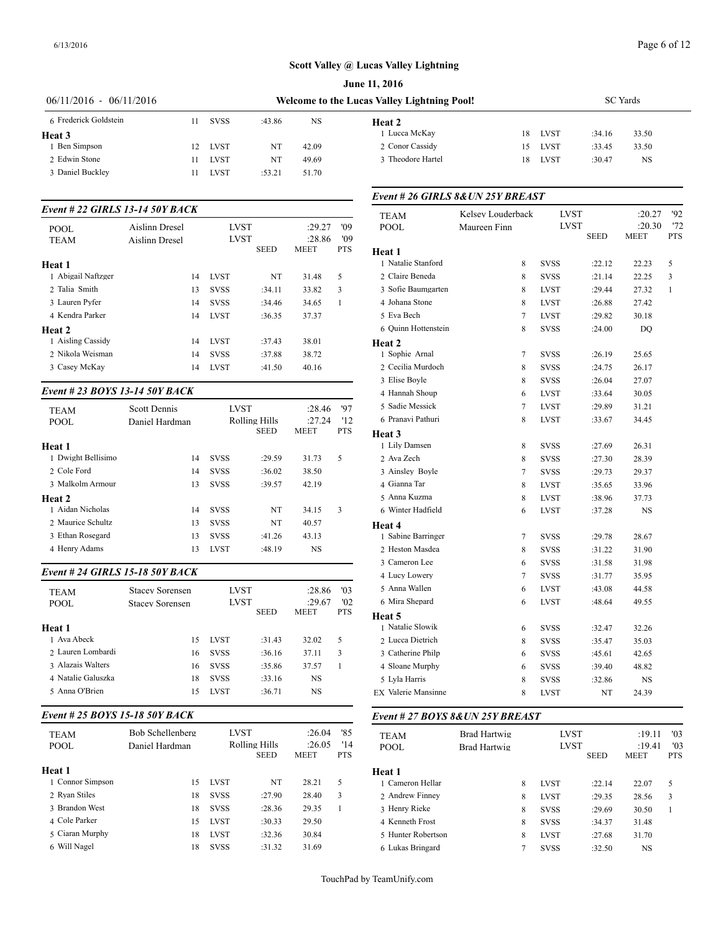| <b>June 11, 2016</b>      |                                             |             |        |       |                   |     |         |        |           |
|---------------------------|---------------------------------------------|-------------|--------|-------|-------------------|-----|---------|--------|-----------|
| $06/11/2016 - 06/11/2016$ | Welcome to the Lucas Valley Lightning Pool! |             |        |       |                   |     |         |        | SC Yards  |
| 6 Frederick Goldstein     |                                             | <b>SVSS</b> | :43.86 | NS    | Heat 2            |     |         |        |           |
| Heat 3                    |                                             |             |        |       | Lucca McKay       |     | 18 LVST | :34.16 | 33.50     |
| Ben Simpson               | 12                                          | LVST        | NT     | 42.09 | 2 Conor Cassidy   |     | 15 LVST | :33.45 | 33.50     |
| 2 Edwin Stone             |                                             | LVST        | NT     | 49.69 | 3 Theodore Hartel | 18. | LVST    | :30.47 | <b>NS</b> |
| 3 Daniel Buckley          |                                             | LVST        | :53.21 | 51.70 |                   |     |         |        |           |
|                           |                                             |             |        |       |                   |     |         |        |           |

## *Event # 22 GIRLS 13-14 50Y BACK*

| POOL               | <b>Aislinn Dresel</b> |    | <b>LVST</b> |             | :29.27      | '09        | POOL               |
|--------------------|-----------------------|----|-------------|-------------|-------------|------------|--------------------|
| <b>TEAM</b>        | Aislinn Dresel        |    |             | <b>LVST</b> | :28.86      | '09        |                    |
|                    |                       |    |             | <b>SEED</b> | <b>MEET</b> | <b>PTS</b> | Heat 1             |
| Heat 1             |                       |    |             |             |             |            | 1 Natalie Stanford |
| 1 Abigail Naftzger |                       | 14 | <b>LVST</b> | NT          | 31.48       | 5          | 2 Claire Beneda    |
| 2 Talia Smith      |                       | 13 | <b>SVSS</b> | :34.11      | 33.82       | 3          | 3 Sofie Baumgarte  |
| 3 Lauren Pyfer     |                       | 14 | <b>SVSS</b> | :34.46      | 34.65       |            | 4 Johana Stone     |
| 4 Kendra Parker    |                       | 14 | <b>LVST</b> | :36.35      | 37.37       |            | 5 Eva Bech         |
| Heat 2             |                       |    |             |             |             |            | 6 Ouinn Hottenste  |
| 1 Aisling Cassidy  |                       | 14 | <b>LVST</b> | :37.43      | 38.01       |            | Heat 2             |
| 2 Nikola Weisman   |                       | 14 | <b>SVSS</b> | :37.88      | 38.72       |            | 1 Sophie Arnal     |
| 3 Casey McKay      |                       | 14 | <b>LVST</b> | :41.50      | 40.16       |            | 2 Cecilia Murdocl  |
|                    |                       |    |             |             |             |            | $2$ Elisa Davis    |

## *Event # 23 BOYS 13-14 50Y BACK*

| <b>TEAM</b>        | <b>Scott Dennis</b> | <b>LVST</b> |               | :28.46      | '97        | 5 Sadie Messick   |
|--------------------|---------------------|-------------|---------------|-------------|------------|-------------------|
| POOL               | Daniel Hardman      |             | Rolling Hills | :27.24      | 12         | 6 Pranavi Pathuri |
|                    |                     |             | <b>SEED</b>   | <b>MEET</b> | <b>PTS</b> | Heat 3            |
| Heat 1             |                     |             |               |             |            | 1 Lily Damsen     |
| 1 Dwight Bellisimo | 14                  | <b>SVSS</b> | :29.59        | 31.73       | 5          | 2 Ava Zech        |
| 2 Cole Ford        | 14                  | <b>SVSS</b> | :36.02        | 38.50       |            | 3 Ainsley Boyle   |
| 3 Malkolm Armour   | 13                  | <b>SVSS</b> | :39.57        | 42.19       |            | 4 Gianna Tar      |
| Heat 2             |                     |             |               |             |            | 5 Anna Kuzma      |
| 1 Aidan Nicholas   | 14                  | <b>SVSS</b> | NT            | 34.15       | 3          | 6 Winter Hadfield |
| 2 Maurice Schultz  | 13                  | <b>SVSS</b> | NT            | 40.57       |            | Heat 4            |
| 3 Ethan Rosegard   | 13                  | <b>SVSS</b> | :41.26        | 43.13       |            | 1 Sabine Barringe |
| 4 Henry Adams      | 13                  | <b>LVST</b> | :48.19        | NS          |            | 2 Heston Masdea   |
|                    |                     |             |               |             |            |                   |

### *Event # 24 GIRLS 15-18 50Y BACK*

| <b>TEAM</b><br>POOL | <b>Stacey Sorensen</b><br><b>Stacey Sorensen</b> | <b>LVST</b><br><b>LVST</b> |             | :28.86<br>:29.67 | '03<br>'02 | 5 Anna Wallen<br>6 Mira Shepard   |
|---------------------|--------------------------------------------------|----------------------------|-------------|------------------|------------|-----------------------------------|
| Heat 1              |                                                  |                            | <b>SEED</b> | <b>MEET</b>      | <b>PTS</b> | <b>Heat 5</b><br>1 Natalie Slowik |
| Ava Abeck           | 15                                               | <b>LVST</b>                | :31.43      | 32.02            | 5          | 2 Lucca Dietrich                  |
| 2 Lauren Lombardi   | 16                                               | <b>SVSS</b>                | :36.16      | 37.11            | 3          | 3 Catherine Philp                 |
| 3 Alazais Walters   | 16                                               | <b>SVSS</b>                | :35.86      | 37.57            |            | 4 Sloane Murphy                   |
| 4 Natalie Galuszka  | 18                                               | <b>SVSS</b>                | :33.16      | <b>NS</b>        |            | 5 Lyla Harris                     |
| 5 Anna O'Brien      | 15                                               | <b>LVST</b>                | :36.71      | NS               |            | EX Valerie Mansinn                |

### *Event # 25 BOYS 15-18 50Y BACK*

| <b>TEAM</b><br><b>POOL</b> | Bob Schellenberg<br>Daniel Hardman | <b>LVST</b><br>Rolling Hills<br><b>SEED</b> |        | :26.04<br>:26.05<br><b>MEET</b> | '85<br>'14<br><b>PTS</b> | <b>TEAM</b><br><b>POOL</b> |
|----------------------------|------------------------------------|---------------------------------------------|--------|---------------------------------|--------------------------|----------------------------|
| Heat 1                     |                                    |                                             |        |                                 |                          | Heat 1                     |
| 1 Connor Simpson           | 15                                 | <b>LVST</b>                                 | NT     | 28.21                           | 5                        | 1 Cameron Hellar           |
| 2 Ryan Stiles              | 18                                 | <b>SVSS</b>                                 | :27.90 | 28.40                           | 3                        | 2 Andrew Finney            |
| 3 Brandon West             | 18                                 | <b>SVSS</b>                                 | :28.36 | 29.35                           |                          | 3 Henry Rieke              |
| 4 Cole Parker              | 15                                 | <b>LVST</b>                                 | :30.33 | 29.50                           |                          | 4 Kenneth Frost            |
| 5 Ciaran Murphy            | 18                                 | <b>LVST</b>                                 | :32.36 | 30.84                           |                          | 5 Hunter Robertsc          |
| 6 Will Nagel               | 18                                 | <b>SVSS</b>                                 | :31.32 | 31.69                           |                          | 6 Lukas Bringard           |
|                            |                                    |                                             |        |                                 |                          |                            |

|                            | Event # 26 GIRLS 8& UN 25Y BREAST |             |             |             |     |
|----------------------------|-----------------------------------|-------------|-------------|-------------|-----|
| <b>TEAM</b>                | Kelsey Louderback                 | <b>LVST</b> |             | :20.27      | '92 |
| POOL                       | Maureen Finn                      | <b>LVST</b> |             | :20.30      | '72 |
|                            |                                   |             | <b>SEED</b> | <b>MEET</b> | PTS |
| Heat 1                     |                                   |             |             |             |     |
| 1 Natalie Stanford         | 8                                 | <b>SVSS</b> | :22.12      | 22.23       | 5   |
| 2 Claire Beneda            | 8                                 | <b>SVSS</b> | : 21.14     | 22.25       | 3   |
| 3 Sofie Baumgarten         | 8                                 | LVST        | :29.44      | 27.32       | 1   |
| 4 Johana Stone             | 8                                 | <b>LVST</b> | :26.88      | 27.42       |     |
| 5 Eva Bech                 | 7                                 | LVST        | :29.82      | 30.18       |     |
| 6 Quinn Hottenstein        | 8                                 | <b>SVSS</b> | :24.00      | DQ          |     |
| Heat 2                     |                                   |             |             |             |     |
| 1 Sophie Arnal             | $\tau$                            | <b>SVSS</b> | :26.19      | 25.65       |     |
| 2 Cecilia Murdoch          | 8                                 | <b>SVSS</b> | :24.75      | 26.17       |     |
| 3 Elise Boyle              | 8                                 | <b>SVSS</b> | :26.04      | 27.07       |     |
| 4 Hannah Shoup             | 6                                 | <b>LVST</b> | :33.64      | 30.05       |     |
| 5 Sadie Messick            | $\tau$                            | <b>LVST</b> | :29.89      | 31.21       |     |
| 6 Pranavi Pathuri          | 8                                 | <b>LVST</b> | :33.67      | 34.45       |     |
| Heat 3                     |                                   |             |             |             |     |
| 1 Lily Damsen              | 8                                 | <b>SVSS</b> | :27.69      | 26.31       |     |
| 2 Ava Zech                 | 8                                 | <b>SVSS</b> | :27.30      | 28.39       |     |
| 3 Ainsley Boyle            | $\tau$                            | <b>SVSS</b> | :29.73      | 29.37       |     |
| 4 Gianna Tar               | 8                                 | LVST        | :35.65      | 33.96       |     |
| 5 Anna Kuzma               | 8                                 | <b>LVST</b> | :38.96      | 37.73       |     |
| 6 Winter Hadfield          | 6                                 | LVST        | :37.28      | NS          |     |
| Heat 4                     |                                   |             |             |             |     |
| 1 Sabine Barringer         | 7                                 | <b>SVSS</b> | :29.78      | 28.67       |     |
| 2 Heston Masdea            | 8                                 | <b>SVSS</b> | :31.22      | 31.90       |     |
| 3 Cameron Lee              | 6                                 | <b>SVSS</b> | :31.58      | 31.98       |     |
| 4 Lucy Lowery              | $\tau$                            | <b>SVSS</b> | :31.77      | 35.95       |     |
| 5 Anna Wallen              | 6                                 | LVST        | :43.08      | 44.58       |     |
| 6 Mira Shepard             | 6                                 | <b>LVST</b> | :48.64      | 49.55       |     |
| Heat 5                     |                                   |             |             |             |     |
| 1 Natalie Slowik           | 6                                 | <b>SVSS</b> | :32.47      | 32.26       |     |
| 2 Lucca Dietrich           | 8                                 | <b>SVSS</b> | :35.47      | 35.03       |     |
| 3 Catherine Philp          | 6                                 | <b>SVSS</b> | :45.61      | 42.65       |     |
| 4 Sloane Murphy            | 6                                 | <b>SVSS</b> | :39.40      | 48.82       |     |
| 5 Lyla Harris              | 8                                 | <b>SVSS</b> | :32.86      | NS          |     |
| <b>EX</b> Valerie Mansinne | 8                                 | <b>LVST</b> | NT          | 24.39       |     |
|                            |                                   |             |             |             |     |

### *Event # 27 BOYS 8&UN 25Y BREAST*

| <b>TEAM</b>        | Brad Hartwig |   | <b>LVST</b> |             | :19.11      | $^{\prime}$ 03 |
|--------------------|--------------|---|-------------|-------------|-------------|----------------|
| <b>POOL</b>        | Brad Hartwig |   | LVST        |             | :19.41      | '03            |
|                    |              |   |             | <b>SEED</b> | <b>MEET</b> | <b>PTS</b>     |
| Heat 1             |              |   |             |             |             |                |
| 1 Cameron Hellar   |              | 8 | <b>LVST</b> | :22.14      | 22.07       | 5              |
| 2 Andrew Finney    |              | 8 | <b>LVST</b> | :29.35      | 28.56       | 3              |
| 3 Henry Rieke      |              | 8 | <b>SVSS</b> | :29.69      | 30.50       | 1              |
| 4 Kenneth Frost    |              | 8 | <b>SVSS</b> | :34.37      | 31.48       |                |
| 5 Hunter Robertson |              | 8 | <b>LVST</b> | :27.68      | 31.70       |                |
| 6 Lukas Bringard   |              | 7 | <b>SVSS</b> | :32.50      | NS          |                |
|                    |              |   |             |             |             |                |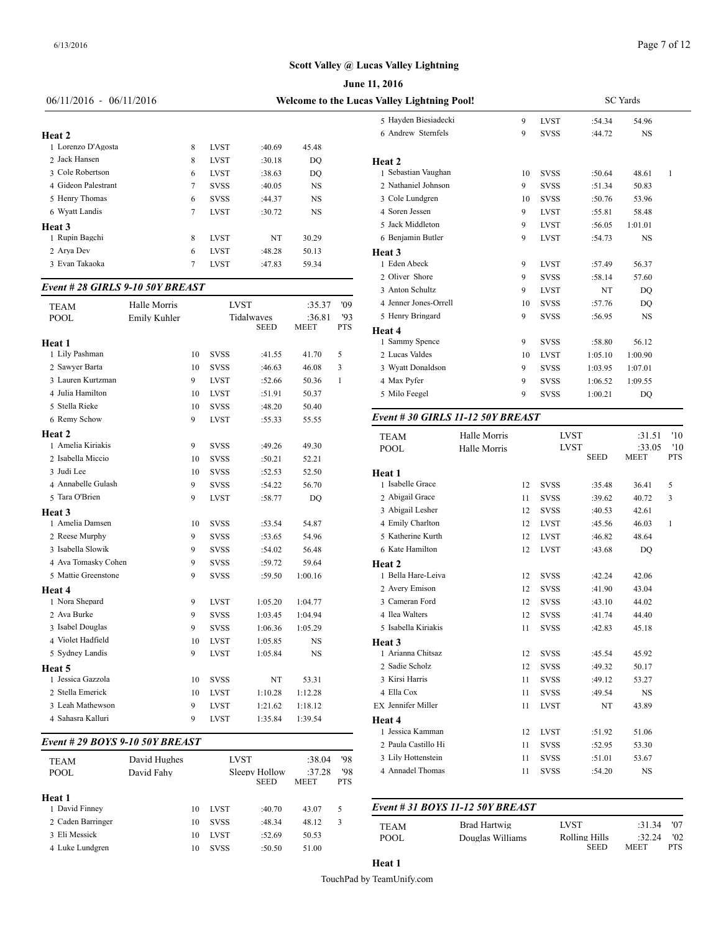| $06/11/2016 - 06/11/2016$ | Welcome to the Lucas Valley Lightning Pool! |             |        |           |                      |    |  |  |  |  |  |
|---------------------------|---------------------------------------------|-------------|--------|-----------|----------------------|----|--|--|--|--|--|
|                           |                                             |             |        |           | 5 Hayden Biesiadecki | 9  |  |  |  |  |  |
| <b>Heat 2</b>             |                                             |             |        |           | 6 Andrew Sternfels   | 9  |  |  |  |  |  |
| 1 Lorenzo D'Agosta        | 8                                           | <b>LVST</b> | :40.69 | 45.48     |                      |    |  |  |  |  |  |
| 2 Jack Hansen             | 8                                           | <b>LVST</b> | :30.18 | DO.       | Heat 2               |    |  |  |  |  |  |
| 3 Cole Robertson          | 6                                           | <b>LVST</b> | :38.63 | DO.       | 1 Sebastian Vaughan  | 10 |  |  |  |  |  |
| 4 Gideon Palestrant       | 7                                           | <b>SVSS</b> | :40.05 | <b>NS</b> | 2 Nathaniel Johnson  | 9  |  |  |  |  |  |
| 5 Henry Thomas            | 6                                           | <b>SVSS</b> | :44.37 | <b>NS</b> | 3 Cole Lundgren      | 10 |  |  |  |  |  |
| 6 Wyatt Landis            | 7                                           | <b>LVST</b> | :30.72 | <b>NS</b> | 4 Soren Jessen       | 9  |  |  |  |  |  |
| <b>Heat 3</b>             |                                             |             |        |           | 5 Jack Middleton     | 9  |  |  |  |  |  |
| 1 Rupin Bagchi            | 8                                           | <b>LVST</b> | NT     | 30.29     | 6 Benjamin Butler    | 9  |  |  |  |  |  |
| 2 Arya Dev                | 6                                           | <b>LVST</b> | :48.28 | 50.13     | Heat 3               |    |  |  |  |  |  |
| 3 Evan Takaoka            |                                             | <b>LVST</b> | :47.83 | 59.34     | 1 Eden Abeck         | 9  |  |  |  |  |  |

## *Event # 28 GIRLS 9-10 50Y BREAST*

| <b>TEAM</b>         | Halle Morris |    | <b>LVST</b> |             | :35.37      | '09        | 4 Jenner Jones-Or   |
|---------------------|--------------|----|-------------|-------------|-------------|------------|---------------------|
| <b>POOL</b>         | Emily Kuhler |    |             | Tidalwaves  | :36.81      | 93         | 5 Henry Bringard    |
|                     |              |    |             | <b>SEED</b> | <b>MEET</b> | <b>PTS</b> | Heat 4              |
| Heat 1              |              |    |             |             |             |            | 1 Sammy Spence      |
| 1 Lily Pashman      |              | 10 | <b>SVSS</b> | :41.55      | 41.70       | 5          | 2 Lucas Valdes      |
| 2 Sawyer Barta      |              | 10 | <b>SVSS</b> | :46.63      | 46.08       | 3          | 3 Wyatt Donaldso    |
| 3 Lauren Kurtzman   |              | 9  | <b>LVST</b> | :52.66      | 50.36       | 1          | 4 Max Pyfer         |
| 4 Julia Hamilton    |              | 10 | <b>LVST</b> | :51.91      | 50.37       |            | 5 Milo Feegel       |
| 5 Stella Rieke      |              | 10 | <b>SVSS</b> | :48.20      | 50.40       |            |                     |
| 6 Remy Schow        |              | 9  | <b>LVST</b> | :55.33      | 55.55       |            | Event # 30 GIRI     |
| Heat 2              |              |    |             |             |             |            | <b>TEAM</b>         |
| 1 Amelia Kiriakis   |              | 9  | <b>SVSS</b> | :49.26      | 49.30       |            | POOL                |
| 2 Isabella Miccio   |              | 10 | <b>SVSS</b> | :50.21      | 52.21       |            |                     |
| 3 Judi Lee          |              | 10 | <b>SVSS</b> | :52.53      | 52.50       |            | Heat 1              |
| 4 Annabelle Gulash  |              | 9  | <b>SVSS</b> | :54.22      | 56.70       |            | 1 Isabelle Grace    |
| 5 Tara O'Brien      |              | 9  | <b>LVST</b> | :58.77      | DO          |            | 2 Abigail Grace     |
| Heat 3              |              |    |             |             |             |            | 3 Abigail Lesher    |
| 1 Amelia Damsen     |              | 10 | <b>SVSS</b> | :53.54      | 54.87       |            | 4 Emily Charlton    |
| 2 Reese Murphy      |              | 9  | <b>SVSS</b> | :53.65      | 54.96       |            | 5 Katherine Kurth   |
| 3 Isabella Slowik   |              | 9  | <b>SVSS</b> | :54.02      | 56.48       |            | 6 Kate Hamilton     |
| 4 Ava Tomasky Cohen |              | 9  | <b>SVSS</b> | :59.72      | 59.64       |            | Heat 2              |
| 5 Mattie Greenstone |              | 9  | <b>SVSS</b> | :59.50      | 1:00.16     |            | 1 Bella Hare-Leiv   |
| Heat 4              |              |    |             |             |             |            | 2 Avery Emison      |
| 1 Nora Shepard      |              | 9  | <b>LVST</b> | 1:05.20     | 1:04.77     |            | 3 Cameran Ford      |
| 2 Ava Burke         |              | 9  | <b>SVSS</b> | 1:03.45     | 1:04.94     |            | 4 Ilea Walters      |
| 3 Isabel Douglas    |              | 9  | <b>SVSS</b> | 1:06.36     | 1:05.29     |            | 5 Isabella Kiriakis |
| 4 Violet Hadfield   |              | 10 | <b>LVST</b> | 1:05.85     | <b>NS</b>   |            | Heat 3              |
| 5 Sydney Landis     |              | 9  | <b>LVST</b> | 1:05.84     | NS          |            | 1 Arianna Chitsaz   |
| Heat 5              |              |    |             |             |             |            | 2 Sadie Scholz      |
| 1 Jessica Gazzola   |              | 10 | <b>SVSS</b> | NT          | 53.31       |            | 3 Kirsi Harris      |
| 2 Stella Emerick    |              | 10 | <b>LVST</b> | 1:10.28     | 1:12.28     |            | 4 Ella Cox          |
| 3 Leah Mathewson    |              | 9  | <b>LVST</b> | 1:21.62     | 1:18.12     |            | EX Jennifer Miller  |
| 4 Sahasra Kalluri   |              | 9  | <b>LVST</b> | 1:35.84     | 1:39.54     |            | Heat 4              |
|                     |              |    |             |             |             |            |                     |

## *Event # 29 BOYS 9-10 50Y BREAST*

| <b>TEAM</b><br><b>POOL</b>                            | David Hughes<br>David Fahv |                |                                           | LVST<br>Sleepy Hollow<br><b>SEED</b> | :38.04<br>:37.28<br><b>MEET</b> | '98<br>'98<br><b>PTS</b> | 3 Lily Hottenstein<br>4 Annadel Thomas |                                  | <b>SVSS</b><br><b>SVSS</b> | :51.01<br>:54.20             | 53.67<br><b>NS</b>            |
|-------------------------------------------------------|----------------------------|----------------|-------------------------------------------|--------------------------------------|---------------------------------|--------------------------|----------------------------------------|----------------------------------|----------------------------|------------------------------|-------------------------------|
| Heat 1<br>1 David Finney                              |                            | 10             | <b>LVST</b>                               | :40.70                               | 43.07                           | 5                        | Event # 31 BOYS 11-12 50Y BREAST       |                                  |                            |                              |                               |
| 2 Caden Barringer<br>3 Eli Messick<br>4 Luke Lundgren |                            | 10<br>10<br>10 | <b>SVSS</b><br><b>LVST</b><br><b>SVSS</b> | :48.34<br>:52.69<br>:50.50           | 48.12<br>50.53<br>51.00         | 3                        | <b>TEAM</b><br><b>POOL</b>             | Brad Hartwig<br>Douglas Williams | <b>LVST</b>                | Rolling Hills<br><b>SEED</b> | :31.3<br>:32.2<br><b>MEET</b> |

| June 11, 2016                             |              |          |              |                  |                 |     |
|-------------------------------------------|--------------|----------|--------------|------------------|-----------------|-----|
| e Lucas Valley Lightning Pool!            |              |          |              |                  | <b>SC</b> Yards |     |
| 5 Hayden Biesiadecki                      |              | 9        | <b>LVST</b>  | :54.34           | 54.96           |     |
| 6 Andrew Sternfels                        |              | 9        | <b>SVSS</b>  | :44.72           | NS              |     |
| Heat 2                                    |              |          |              |                  |                 |     |
| 1 Sebastian Vaughan                       |              | 10       | SVSS         | :50.64           | 48.61           | 1   |
| 2 Nathaniel Johnson                       |              | 9        | <b>SVSS</b>  | :51.34           | 50.83           |     |
| 3 Cole Lundgren                           |              | 10       | SVSS         | :50.76           | 53.96           |     |
| 4 Soren Jessen                            |              | 9        | LVST         | :55.81           | 58.48           |     |
| 5 Jack Middleton                          |              | 9        | <b>LVST</b>  | :56.05           | 1:01.01         |     |
| 6 Benjamin Butler                         |              | 9        | <b>LVST</b>  | :54.73           | NS              |     |
| Heat 3                                    |              |          |              |                  |                 |     |
| 1 Eden Abeck                              |              | 9        | LVST         | :57.49           | 56.37           |     |
| 2 Oliver Shore                            |              | 9        | <b>SVSS</b>  | :58.14           | 57.60           |     |
| 3 Anton Schultz                           |              | 9        | <b>LVST</b>  | NT               | DQ              |     |
| 4 Jenner Jones-Orrell                     |              | 10       | SVSS         | :57.76           | DQ              |     |
| 5 Henry Bringard                          |              | 9        | SVSS         | :56.95           | NS              |     |
| Heat 4                                    |              |          |              |                  |                 |     |
| 1 Sammy Spence                            |              | 9        | SVSS         | :58.80           | 56.12           |     |
| 2 Lucas Valdes                            |              | 10       | <b>LVST</b>  | 1:05.10          | 1:00.90         |     |
| 3 Wyatt Donaldson                         |              | 9        | <b>SVSS</b>  | 1:03.95          | 1:07.01         |     |
| 4 Max Pyfer                               |              | 9        | SVSS         | 1:06.52          | 1:09.55         |     |
| 5 Milo Feegel                             |              | 9        | SVSS         | 1:00.21          | DQ              |     |
| Event # 30 GIRLS 11-12 50Y BREAST         |              |          |              |                  |                 |     |
| TEAM                                      | Halle Morris |          |              | LVST             | :31.51          | '10 |
| POOL                                      | Halle Morris |          |              | LVST             | :33.05          | '10 |
|                                           |              |          |              | SEED             | MEET            | PTS |
| Heat 1                                    |              |          |              |                  |                 |     |
| 1 Isabelle Grace                          |              | 12       | <b>SVSS</b>  | :35.48           | 36.41           | 5   |
| 2 Abigail Grace                           |              | 11       | SVSS         | :39.62           | 40.72           | 3   |
| 3 Abigail Lesher                          |              | 12       | <b>SVSS</b>  | :40.53           | 42.61           |     |
| 4 Emily Charlton                          |              | 12       | LVST         | :45.56           | 46.03           | 1   |
| 5 Katherine Kurth                         |              | 12       | LVST         | :46.82           | 48.64           |     |
| 6 Kate Hamilton                           |              | 12       | <b>LVST</b>  | :43.68           | DQ              |     |
| Heat 2                                    |              |          |              |                  |                 |     |
| 1 Bella Hare-Leiva                        |              | 12       | <b>SVSS</b>  | :42.24           | 42.06           |     |
| 2 Avery Emison                            |              | 12       | <b>SVSS</b>  | :41.90           | 43.04           |     |
| 3 Cameran Ford                            |              | 12       | <b>SVSS</b>  | :43.10           | 44.02           |     |
| 4 Ilea Walters                            |              | 12       | <b>SVSS</b>  | :41.74           | 44.40           |     |
| 5 Isabella Kiriakis                       |              | 11       | SVSS         | :42.83           | 45.18           |     |
| Heat 3                                    |              |          |              |                  |                 |     |
| 1 Arianna Chitsaz                         |              | 12       | <b>SVSS</b>  | :45.54           | 45.92           |     |
| 2 Sadie Scholz                            |              | 12       | SVSS         | :49.32           | 50.17           |     |
| 3 Kirsi Harris                            |              | 11       | SVSS         | :49.12           | 53.27           |     |
| 4 Ella Cox                                |              | 11       | SVSS         | :49.54           | NS              |     |
| EX Jennifer Miller                        |              | 11       | <b>LVST</b>  | NT               | 43.89           |     |
| Heat 4                                    |              |          |              |                  |                 |     |
| 1 Jessica Kamman                          |              | 12       | LVST         | :51.92           | 51.06           |     |
| 2 Paula Castillo Hi<br>3 Lily Hottenstein |              | 11       | SVSS         | :52.95           | 53.30           |     |
|                                           |              |          |              |                  |                 |     |
| 4 Annadel Thomas                          |              | 11<br>11 | svss<br>SVSS | :51.01<br>:54.20 | 53.67<br>NS     |     |

| <b>TEAM</b> | Brad Hartwig     | LVST          | $:31.34$ '07 |            |
|-------------|------------------|---------------|--------------|------------|
| POOL        | Douglas Williams | Rolling Hills | :32.24       | '02        |
|             |                  | SEED          | <b>MEET</b>  | <b>PTS</b> |

**Heat 1**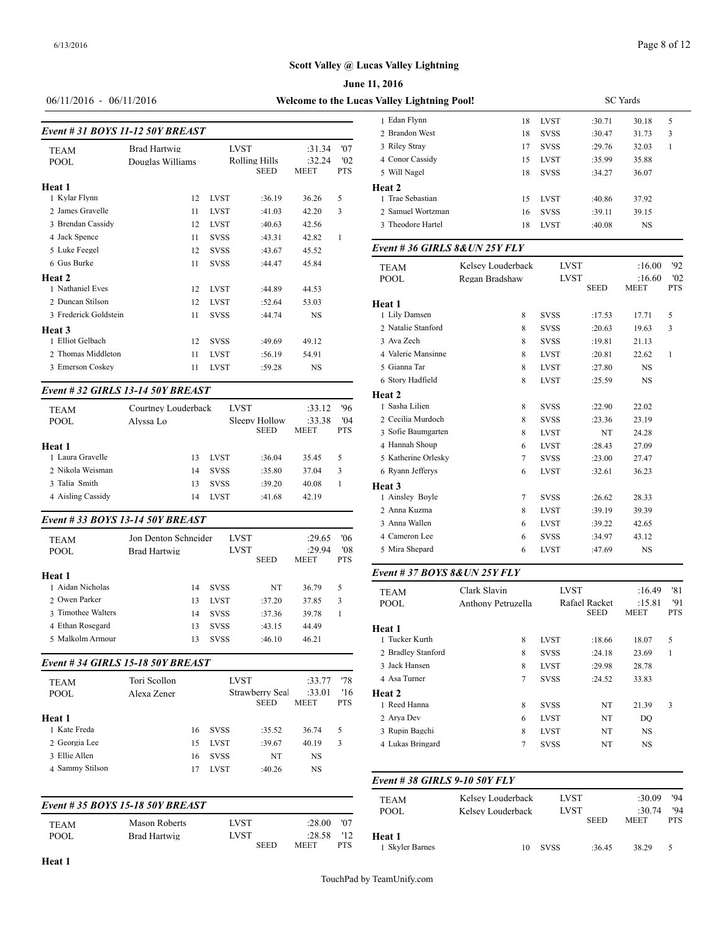## Page 8 of 12

### **Scott Valley @ Lucas Valley Lightning**

### **June 11, 2016**

# 06/11/2016 - 06/11/2016 **Welcome to the Lucas**

### *Event # 31 BOYS 11-12 50Y BREAST*

| <b>TEAM</b>           | Brad Hartwig     | <b>LVST</b> |               | :31.34    | '07        | 3 Riley Stray      |
|-----------------------|------------------|-------------|---------------|-----------|------------|--------------------|
| <b>POOL</b>           | Douglas Williams |             | Rolling Hills | :32.24    | '02        | 4 Conor Cassidy    |
|                       |                  |             | <b>SEED</b>   | MEET      | <b>PTS</b> | 5 Will Nagel       |
| Heat 1                |                  |             |               |           |            | Heat 2             |
| 1 Kylar Flynn         | 12               | <b>LVST</b> | :36.19        | 36.26     | 5          | 1 Trae Sebastian   |
| 2 James Gravelle      | 11               | <b>LVST</b> | :41.03        | 42.20     | 3          | 2 Samuel Wortzm    |
| 3 Brendan Cassidy     | 12               | <b>LVST</b> | :40.63        | 42.56     |            | 3 Theodore Hartel  |
| 4 Jack Spence         | 11               | <b>SVSS</b> | :43.31        | 42.82     | 1          |                    |
| 5 Luke Feegel         | 12               | <b>SVSS</b> | :43.67        | 45.52     |            | Event #36 GIRI     |
| 6 Gus Burke           | 11               | <b>SVSS</b> | :44.47        | 45.84     |            | TEAM               |
| Heat 2                |                  |             |               |           |            | <b>POOL</b>        |
| 1 Nathaniel Eves      | 12               | <b>LVST</b> | :44.89        | 44.53     |            |                    |
| 2 Duncan Stilson      | 12               | <b>LVST</b> | :52.64        | 53.03     |            | Heat 1             |
| 3 Frederick Goldstein | 11               | <b>SVSS</b> | :44.74        | <b>NS</b> |            | 1 Lily Damsen      |
| Heat 3                |                  |             |               |           |            | 2 Natalie Stanford |
| 1 Elliot Gelbach      | 12               | <b>SVSS</b> | :49.69        | 49.12     |            | 3 Ava Zech         |
| 2 Thomas Middleton    | 11               | <b>LVST</b> | :56.19        | 54.91     |            | 4 Valerie Mansinn  |
| 3 Emerson Coskey      | 11               | <b>LVST</b> | :59.28        | <b>NS</b> |            | 5 Gianna Tar       |
|                       |                  |             |               |           |            | 6 Story Hadfield   |

## *Event # 32 GIRLS 13-14 50Y BREAST*

| <b>TEAM</b>       | Courtney Louderback |             | <b>LVST</b>   | :33.12      | '96        | 1 Sasha Lilien                     |
|-------------------|---------------------|-------------|---------------|-------------|------------|------------------------------------|
| <b>POOL</b>       | Alvssa Lo           |             | Sleepy Hollow | :33.38      | '04        | 2 Cecilia Murdocl                  |
|                   |                     |             | <b>SEED</b>   | <b>MEET</b> | <b>PTS</b> | 3 Sofie Baumgarte                  |
| Heat 1            |                     |             |               |             |            | 4 Hannah Shoup                     |
| 1 Laura Gravelle  | 13                  | <b>LVST</b> | :36.04        | 35.45       | 5          | 5 Katherine Orlesl                 |
| 2 Nikola Weisman  | 14                  | <b>SVSS</b> | :35.80        | 37.04       | 3          | 6 Ryann Jefferys                   |
| 3 Talia Smith     | 13                  | <b>SVSS</b> | :39.20        | 40.08       |            | Heat 3                             |
| 4 Aisling Cassidy | 14                  | <b>LVST</b> | :41.68        | 42.19       |            | 1 Ainsley Boyle                    |
|                   |                     |             |               |             |            | $\sim$ $\sim$ $\sim$ $\sim$ $\sim$ |

### *Event # 33 BOYS 13-14 50Y BREAST*

| <b>TEAM</b><br><b>POOL</b> | Jon Denton Schneider<br>Brad Hartwig |    | <b>LVST</b><br><b>LVST</b> | <b>SEED</b> | :29.65<br>:29.94<br><b>MEET</b> | '06<br>'08<br><b>PTS</b> | 4 Cameron Lee<br>5 Mira Shepard                                                             |  |
|----------------------------|--------------------------------------|----|----------------------------|-------------|---------------------------------|--------------------------|---------------------------------------------------------------------------------------------|--|
| Heat 1                     |                                      |    |                            |             |                                 |                          | Event # $37 BOY$                                                                            |  |
| 1 Aidan Nicholas           |                                      | 14 | <b>SVSS</b>                | NT          | 36.79                           | 5                        | <b>TEAM</b>                                                                                 |  |
| 2 Owen Parker              |                                      | 13 | <b>LVST</b>                | :37.20      | 37.85                           | 3                        | POOL                                                                                        |  |
| 3 Timothee Walters         |                                      | 14 | <b>SVSS</b>                | :37.36      | 39.78                           |                          |                                                                                             |  |
| 4 Ethan Rosegard           |                                      | 13 | <b>SVSS</b>                | :43.15      | 44.49                           |                          | Heat 1                                                                                      |  |
| 5 Malkolm Armour           |                                      | 13 | <b>SVSS</b>                | :46.10      | 46.21                           |                          | 1 Tucker Kurth                                                                              |  |
|                            |                                      |    |                            |             |                                 |                          | $A$ D <sub>ra</sub> $A$ <sub>1</sub> $A$ <sub>2</sub> $A$ <sub>2</sub> $A$ <sub>2</sub> $A$ |  |

### *Event # 34 GIRLS 15-18 50Y BREAST*

| <b>TEAM</b>     | Tori Scollon |    | <b>LVST</b> |                                | :33.77                | '78              | 4 Asa Turner                  |
|-----------------|--------------|----|-------------|--------------------------------|-----------------------|------------------|-------------------------------|
| POOL            | Alexa Zener  |    |             | Strawberry Seal<br><b>SEED</b> | :33.01<br><b>MEET</b> | 16<br><b>PTS</b> | <b>Heat 2</b><br>1 Reed Hanna |
| Heat 1          |              |    |             |                                |                       |                  | 2 Arya Dev                    |
| 1 Kate Freda    |              | 16 | <b>SVSS</b> | :35.52                         | 36.74                 | 5                | 3 Rupin Bagchi                |
| 2 Georgia Lee   |              | 15 | <b>LVST</b> | :39.67                         | 40.19                 | 3                | 4 Lukas Bringard              |
| 3 Ellie Allen   |              | 16 | <b>SVSS</b> | NT                             | NS                    |                  |                               |
| 4 Sammy Stilson |              | 17 | <b>LVST</b> | :40.26                         | NS                    |                  |                               |
|                 |              |    |             |                                |                       |                  | Event #38 GIRI                |

| Event #35 BOYS 15-18 50Y BREAST | TEANI<br>POOL. |             |                    |                 |
|---------------------------------|----------------|-------------|--------------------|-----------------|
| <b>TEAM</b>                     | Mason Roberts  | <b>LVST</b> | $:28.00$ $"07$     |                 |
| POOL                            | Brad Hartwig   | LVST        | '12<br>:28.58      | Heat 1          |
|                                 |                | <b>SEED</b> | <b>PTS</b><br>MEET | 1 Skyler Barnes |

| Valley Lightning Pool! | <b>SC</b> Yards |             |        |           |   |  |  |
|------------------------|-----------------|-------------|--------|-----------|---|--|--|
| 1 Edan Flynn           | 18              | <b>LVST</b> | :30.71 | 30.18     | 5 |  |  |
| 2 Brandon West         | 18              | <b>SVSS</b> | :30.47 | 31.73     | 3 |  |  |
| 3 Riley Stray          | 17              | <b>SVSS</b> | :29.76 | 32.03     | 1 |  |  |
| 4 Conor Cassidy        | 15              | <b>LVST</b> | :35.99 | 35.88     |   |  |  |
| 5 Will Nagel           | 18              | <b>SVSS</b> | :34.27 | 36.07     |   |  |  |
| <b>Heat 2</b>          |                 |             |        |           |   |  |  |
| 1 Trae Sebastian       | 15              | <b>LVST</b> | :40.86 | 37.92     |   |  |  |
| 2 Samuel Wortzman      | 16              | <b>SVSS</b> | :39.11 | 39.15     |   |  |  |
| 3 Theodore Hartel      | 18              | <b>LVST</b> | :40.08 | <b>NS</b> |   |  |  |
|                        |                 |             |        |           |   |  |  |

## *Event # 36 GIRLS 8&UN 25Y FLY*

| <b>TEAM</b>         | Kelsey Louderback | <b>LVST</b> |             | :16.00                | 92                |
|---------------------|-------------------|-------------|-------------|-----------------------|-------------------|
| <b>POOL</b>         | Regan Bradshaw    | <b>LVST</b> | <b>SEED</b> | :16.60<br><b>MEET</b> | '02<br><b>PTS</b> |
| Heat 1              |                   |             |             |                       |                   |
| 1 Lily Damsen       | 8                 | <b>SVSS</b> | :17.53      | 17.71                 | 5                 |
| 2 Natalie Stanford  | 8                 | <b>SVSS</b> | :20.63      | 19.63                 | 3                 |
| 3 Ava Zech          | 8                 | <b>SVSS</b> | :19.81      | 21.13                 |                   |
| 4 Valerie Mansinne  | 8                 | <b>LVST</b> | :20.81      | 22.62                 | $\mathbf{1}$      |
| 5 Gianna Tar        | 8                 | <b>LVST</b> | :27.80      | <b>NS</b>             |                   |
| 6 Story Hadfield    | 8                 | <b>LVST</b> | :25.59      | <b>NS</b>             |                   |
| Heat 2              |                   |             |             |                       |                   |
| 1 Sasha Lilien      | 8                 | <b>SVSS</b> | :22.90      | 22.02                 |                   |
| 2 Cecilia Murdoch   | 8                 | <b>SVSS</b> | :23.36      | 23.19                 |                   |
| 3 Sofie Baumgarten  | 8                 | <b>LVST</b> | NT          | 24.28                 |                   |
| 4 Hannah Shoup      | 6                 | <b>LVST</b> | :28.43      | 27.09                 |                   |
| 5 Katherine Orlesky | 7                 | <b>SVSS</b> | :23.00      | 27.47                 |                   |
| 6 Ryann Jefferys    | 6                 | <b>LVST</b> | :32.61      | 36.23                 |                   |
| Heat 3              |                   |             |             |                       |                   |
| 1 Ainsley Boyle     | $\overline{7}$    | <b>SVSS</b> | :26.62      | 28.33                 |                   |
| 2 Anna Kuzma        | 8                 | <b>LVST</b> | :39.19      | 39.39                 |                   |
| 3 Anna Wallen       | 6                 | <b>LVST</b> | :39.22      | 42.65                 |                   |
| 4 Cameron Lee       | 6                 | <b>SVSS</b> | :34.97      | 43.12                 |                   |
| 5 Mira Shepard      | 6                 | <b>LVST</b> | :47.69      | NS                    |                   |
|                     |                   |             |             |                       |                   |

### *Event # 37 BOYS 8&UN 25Y FLY*

| <b>TEAM</b><br><b>POOL</b> | Clark Slavin<br>Anthony Petruzella | <b>LVST</b><br>Rafael Racket<br><b>SEED</b> |        | :16.49<br>:15.81<br><b>MEET</b> | '81<br>'91<br><b>PTS</b> |
|----------------------------|------------------------------------|---------------------------------------------|--------|---------------------------------|--------------------------|
| Heat 1                     |                                    |                                             |        |                                 |                          |
| 1 Tucker Kurth             | 8                                  | <b>LVST</b>                                 | :18.66 | 18.07                           | 5                        |
| 2 Bradley Stanford         | 8                                  | <b>SVSS</b>                                 | :24.18 | 23.69                           | 1                        |
| 3 Jack Hansen              | 8                                  | <b>LVST</b>                                 | :29.98 | 28.78                           |                          |
| 4 Asa Turner               | 7                                  | <b>SVSS</b>                                 | :24.52 | 33.83                           |                          |
| <b>Heat 2</b>              |                                    |                                             |        |                                 |                          |
| 1 Reed Hanna               | 8                                  | <b>SVSS</b>                                 | NT     | 21.39                           | 3                        |
| 2 Arya Dev                 | 6                                  | <b>LVST</b>                                 | NT     | DQ                              |                          |
| 3 Rupin Bagchi             | 8                                  | <b>LVST</b>                                 | NT     | <b>NS</b>                       |                          |
| 4 Lukas Bringard           | 7                                  | <b>SVSS</b>                                 | NT     | <b>NS</b>                       |                          |
|                            |                                    |                                             |        |                                 |                          |

## *Event # 38 GIRLS 9-10 50Y FLY* TEAM Kelsey Louderback LVST :30.09 '94<br>POOL Kelsey Louderback LVST :30.74 '94 POOL Kelsey Louderback LVST :30.74 '94<br>SEED MEET PTS SEED MEET PTS

|                 |    |      | SEED   | MEET  | PTS |
|-----------------|----|------|--------|-------|-----|
| Heat 1          |    |      |        |       |     |
| 1 Skyler Barnes | 10 | SVSS | :36.45 | 38.29 |     |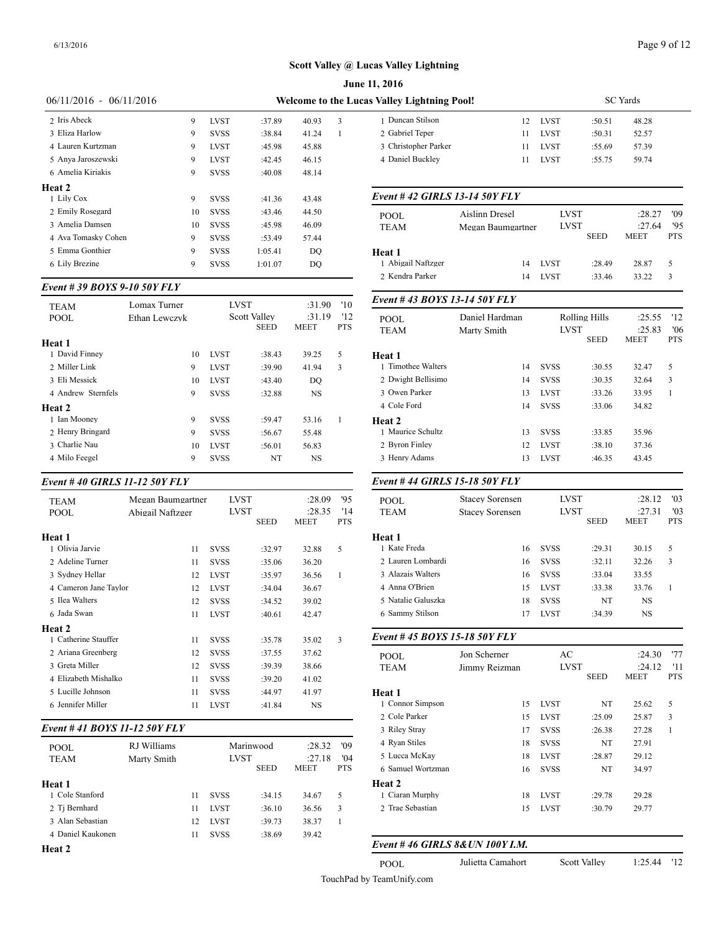| $06/11/2016 - 06/11/2016$ | Welcome to the Lucas Valley Lightning Pool! |             |         |       |   |                               |                   |  |  |
|---------------------------|---------------------------------------------|-------------|---------|-------|---|-------------------------------|-------------------|--|--|
|                           |                                             |             |         |       |   |                               |                   |  |  |
| 2 Iris Abeck              | 9                                           | <b>LVST</b> | :37.89  | 40.93 | 3 | 1 Duncan Stilson              | 12                |  |  |
| 3 Eliza Harlow            | 9                                           | <b>SVSS</b> | :38.84  | 41.24 |   | 2 Gabriel Teper               | 11                |  |  |
| 4 Lauren Kurtzman         | 9                                           | <b>LVST</b> | :45.98  | 45.88 |   | 3 Christopher Parker          | 11                |  |  |
| 5 Anya Jaroszewski        | 9                                           | <b>LVST</b> | :42.45  | 46.15 |   | 4 Daniel Buckley              | 11                |  |  |
| 6 Amelia Kiriakis         | 9                                           | <b>SVSS</b> | :40.08  | 48.14 |   |                               |                   |  |  |
| <b>Heat 2</b>             |                                             |             |         |       |   |                               |                   |  |  |
| 1 Lily Cox                | 9                                           | <b>SVSS</b> | :41.36  | 43.48 |   | Event #42 GIRLS 13-14 50Y FLY |                   |  |  |
| 2 Emily Rosegard          | 10                                          | <b>SVSS</b> | :43.46  | 44.50 |   | POOL                          | Aislinn Dresel    |  |  |
| 3 Amelia Damsen           | 10                                          | <b>SVSS</b> | :45.98  | 46.09 |   | <b>TEAM</b>                   | Megan Baumgartner |  |  |
| 4 Ava Tomasky Cohen       | 9                                           | <b>SVSS</b> | :53.49  | 57.44 |   |                               |                   |  |  |
| 5 Emma Gonthier           | 9                                           | <b>SVSS</b> | 1:05.41 | DO.   |   | Heat 1                        |                   |  |  |
| 6 Lily Brezine            | 9                                           | <b>SVSS</b> | 1:01.07 | DO    |   | 1 Abigail Naftzger            | 14                |  |  |

### *Event # 39 BOYS 9-10 50Y FLY*

| <b>TEAM</b>        | Lomax Turner  | <b>LVST</b> |                                    | :31.90                | '10               | Event #43 $BOY$     |
|--------------------|---------------|-------------|------------------------------------|-----------------------|-------------------|---------------------|
| <b>POOL</b>        | Ethan Lewczyk |             | <b>Scott Valley</b><br><b>SEED</b> | :31.19<br><b>MEET</b> | '12<br><b>PTS</b> | POOL<br><b>TEAM</b> |
| Heat 1             |               |             |                                    |                       |                   |                     |
| 1 David Finney     | 10            | <b>LVST</b> | :38.43                             | 39.25                 | 5                 | Heat 1              |
| 2 Miller Link      | 9             | <b>LVST</b> | :39.90                             | 41.94                 | 3                 | 1 Timothee Walter   |
| 3 Eli Messick      | 10            | <b>LVST</b> | :43.40                             | DQ                    |                   | 2 Dwight Bellisim   |
| 4 Andrew Sternfels | 9             | <b>SVSS</b> | :32.88                             | <b>NS</b>             |                   | 3 Owen Parker       |
| Heat 2             |               |             |                                    |                       |                   | 4 Cole Ford         |
| 1 Ian Mooney       | 9             | <b>SVSS</b> | :59.47                             | 53.16                 |                   | <b>Heat 2</b>       |
| 2 Henry Bringard   | 9             | <b>SVSS</b> | :56.67                             | 55.48                 |                   | 1 Maurice Schultz   |
| 3 Charlie Nau      | 10            | <b>LVST</b> | :56.01                             | 56.83                 |                   | 2 Byron Finley      |
| 4 Milo Feegel      | 9             | <b>SVSS</b> | NT                                 | NS                    |                   | 3 Henry Adams       |
|                    |               |             |                                    |                       |                   |                     |

### *Event # 40 GIRLS 11-12 50Y FLY*

| <b>TEAM</b><br><b>POOL</b> | Megan Baumgartner<br>Abigail Naftzger | <b>LVST</b><br><b>LVST</b> | <b>SEED</b> | :28.09<br>:28.35<br><b>MEET</b> | '95<br>'14<br><b>PTS</b> | <b>POOL</b><br><b>TEAM</b>   | <b>Stacey Sorensen</b><br><b>Stacey Sorensen</b> | <b>LVST</b><br><b>LVST</b> | <b>SEED</b> | MF |
|----------------------------|---------------------------------------|----------------------------|-------------|---------------------------------|--------------------------|------------------------------|--------------------------------------------------|----------------------------|-------------|----|
| Heat 1                     |                                       |                            |             |                                 |                          | Heat 1                       |                                                  |                            |             |    |
| 1 Olivia Jarvie            | 11                                    | <b>SVSS</b>                | :32.97      | 32.88                           | 5                        | 1 Kate Freda                 | 16                                               | <b>SVSS</b>                | :29.31      | 3  |
| 2 Adeline Turner           | 11                                    | <b>SVSS</b>                | :35.06      | 36.20                           |                          | 2 Lauren Lombardi            | 16                                               | <b>SVSS</b>                | :32.11      | 3  |
| 3 Sydney Hellar            | 12                                    | <b>LVST</b>                | :35.97      | 36.56                           |                          | 3 Alazais Walters            | 16                                               | <b>SVSS</b>                | :33.04      | 3  |
| 4 Cameron Jane Taylor      | 12                                    | <b>LVST</b>                | :34.04      | 36.67                           |                          | 4 Anna O'Brien               | 15                                               | <b>LVST</b>                | :33.38      | 3  |
| 5 Ilea Walters             | 12                                    | <b>SVSS</b>                | :34.52      | 39.02                           |                          | 5 Natalie Galuszka           | 18                                               | <b>SVSS</b>                | NT          |    |
| 6 Jada Swan                | 11                                    | <b>LVST</b>                | :40.61      | 42.47                           |                          | 6 Sammy Stilson              |                                                  | <b>LVST</b>                | :34.39      |    |
| Heat 2                     |                                       |                            |             |                                 |                          |                              |                                                  |                            |             |    |
| 1 Catherine Stauffer       | 11                                    | <b>SVSS</b>                | :35.78      | 35.02                           | 3                        | Event #45 BOYS 15-18 50Y FLY |                                                  |                            |             |    |
| 2 Ariana Greenberg         | 12                                    | <b>SVSS</b>                | :37.55      | 37.62                           |                          | <b>POOL</b>                  | Jon Scherner                                     | AC                         |             |    |
| 3 Greta Miller             | 12                                    | <b>SVSS</b>                | :39.39      | 38.66                           |                          | <b>TEAM</b>                  | Jimmy Reizman                                    | <b>LVST</b>                |             |    |
| 4 Elizabeth Mishalko       | 11                                    | <b>SVSS</b>                | :39.20      | 41.02                           |                          |                              |                                                  |                            | <b>SEED</b> | MF |
| 5 Lucille Johnson          | 11                                    | <b>SVSS</b>                | :44.97      | 41.97                           |                          | Heat 1                       |                                                  |                            |             |    |
| 6 Jennifer Miller          |                                       | <b>LVST</b>                | :41.84      | <b>NS</b>                       |                          | 1 Connor Simpson             | 15                                               | <b>LVST</b>                | NT          | 2  |
|                            |                                       |                            |             |                                 |                          | .                            |                                                  |                            |             |    |

### *Event # 41 BOYS 11-12 50Y FLY*

| <b>POOL</b><br><b>TEAM</b> | RJ Williams<br>Marty Smith | Marinwood<br><b>LVST</b><br><b>SEED</b> |             |        | :28.32<br>:27.18<br><b>MEET</b> | '09<br>04'<br><b>PTS</b> | 4 Ryan Stiles<br>5 Lucca McKay<br>6 Samuel Wortzm |
|----------------------------|----------------------------|-----------------------------------------|-------------|--------|---------------------------------|--------------------------|---------------------------------------------------|
| Heat 1                     |                            |                                         |             |        |                                 |                          | Heat 2                                            |
| 1 Cole Stanford            |                            | 11                                      | <b>SVSS</b> | :34.15 | 34.67                           | 5                        | 1 Ciaran Murphy                                   |
| 2 Ti Bernhard              |                            | 11                                      | <b>LVST</b> | :36.10 | 36.56                           | 3                        | 2 Trae Sebastian                                  |
| 3 Alan Sebastian           |                            | 12                                      | <b>LVST</b> | :39.73 | 38.37                           |                          |                                                   |
| 4 Daniel Kaukonen          |                            | 11                                      | <b>SVSS</b> | :38.69 | 39.42                           |                          |                                                   |
| Heat 2                     |                            |                                         |             |        |                                 |                          | Event #46 GIRI                                    |

| e Lucas Valley Lightning Pool! |    |             |        | <b>SC</b> Yards |
|--------------------------------|----|-------------|--------|-----------------|
| 1 Duncan Stilson               | 12 | <b>LVST</b> | :50.51 | 48.28           |
| 2 Gabriel Teper                | 11 | <b>LVST</b> | :50.31 | 52.57           |
| 3 Christopher Parker           | 11 | <b>LVST</b> | :55.69 | 57.39           |
| 4 Daniel Buckley               | 11 | <b>LVST</b> | :55.75 | 59.74           |

| <b>POOL</b>        | Aislinn Dresel    | <b>LVST</b> |             | :28.27      | '09        |
|--------------------|-------------------|-------------|-------------|-------------|------------|
| <b>TEAM</b>        | Megan Baumgartner | <b>LVST</b> |             | :27.64      | '95        |
|                    |                   |             | <b>SEED</b> | <b>MEET</b> | <b>PTS</b> |
| Heat 1             |                   |             |             |             |            |
| 1 Abigail Naftzger | 14                | <b>LVST</b> | :28.49      | 28.87       | 5          |
| 2 Kendra Parker    | 14                | <b>LVST</b> | :33.46      | 33.22       | 3          |
|                    |                   |             |             |             |            |

## *Event # 43 BOYS 13-14 50Y FLY*

| <b>POOL</b><br><b>TEAM</b> | Daniel Hardman<br>Marty Smith | <b>LVST</b> | Rolling Hills<br><b>SEED</b> | :25.55<br>:25.83<br><b>MEET</b> | 12<br>'06<br><b>PTS</b> |
|----------------------------|-------------------------------|-------------|------------------------------|---------------------------------|-------------------------|
| Heat 1                     |                               |             |                              |                                 |                         |
| 1 Timothee Walters         | 14                            | <b>SVSS</b> | :30.55                       | 32.47                           | 5                       |
| 2 Dwight Bellisimo         | 14                            | <b>SVSS</b> | :30.35                       | 32.64                           | 3                       |
| 3 Owen Parker              | 13                            | <b>LVST</b> | :33.26                       | 33.95                           | 1                       |
| 4 Cole Ford                | 14                            | <b>SVSS</b> | :33.06                       | 34.82                           |                         |
| Heat 2                     |                               |             |                              |                                 |                         |
| 1 Maurice Schultz          | 13                            | <b>SVSS</b> | :33.85                       | 35.96                           |                         |
| 2 Byron Finley             | 12                            | <b>LVST</b> | :38.10                       | 37.36                           |                         |
| 3 Henry Adams              | 13                            | <b>LVST</b> | :46.35                       | 43.45                           |                         |
|                            |                               |             |                              |                                 |                         |

### *Event # 44 GIRLS 15-18 50Y FLY*

| <b>POOL</b><br><b>TEAM</b> | <b>Stacey Sorensen</b><br><b>Stacey Sorensen</b> | <b>LVST</b><br><b>LVST</b> | <b>SEED</b> | :28.12<br>:27.31<br><b>MEET</b> | '03<br>'03<br><b>PTS</b> |
|----------------------------|--------------------------------------------------|----------------------------|-------------|---------------------------------|--------------------------|
| Heat 1                     |                                                  |                            |             |                                 |                          |
| 1 Kate Freda               | 16                                               | <b>SVSS</b>                | :29.31      | 30.15                           | 5                        |
| 2 Lauren Lombardi          | 16                                               | <b>SVSS</b>                | :32.11      | 32.26                           | 3                        |
| 3 Alazais Walters          | 16                                               | <b>SVSS</b>                | :33.04      | 33.55                           |                          |
| 4 Anna O'Brien             | 15                                               | <b>LVST</b>                | :33.38      | 33.76                           |                          |
| 5 Natalie Galuszka         | 18                                               | <b>SVSS</b>                | NT          | NS                              |                          |
| 6 Sammy Stilson            | 17                                               | <b>LVST</b>                | :34.39      | NS                              |                          |
|                            |                                                  |                            |             |                                 |                          |

| <b>TEAM</b><br>Heat 1 | Jimmy Reizman | <b>LVST</b> |        | :24.12      | '11          |
|-----------------------|---------------|-------------|--------|-------------|--------------|
|                       |               |             |        |             |              |
|                       |               |             | SEED   | <b>MEET</b> | <b>PTS</b>   |
|                       |               |             |        |             |              |
| 1 Connor Simpson      | 15            | <b>LVST</b> | NT     | 25.62       | 5            |
| 2 Cole Parker         | 15            | <b>LVST</b> | :25.09 | 25.87       | 3            |
| 3 Riley Stray         | 17            | <b>SVSS</b> | :26.38 | 27.28       | $\mathbf{1}$ |
| 4 Ryan Stiles         | 18            | <b>SVSS</b> | NT     | 27.91       |              |
| 5 Lucca McKay         | 18            | <b>LVST</b> | :28.87 | 29.12       |              |
| 6 Samuel Wortzman     | 16            | <b>SVSS</b> | NT     | 34.97       |              |
| <b>Heat 2</b>         |               |             |        |             |              |
| 1 Ciaran Murphy       | 18            | <b>LVST</b> | :29.78 | 29.28       |              |
| 2 Trae Sebastian      | 15            | <b>LVST</b> | :30.79 | 29.77       |              |

### *Event # 46 GIRLS 8&UN 100Y I.M.*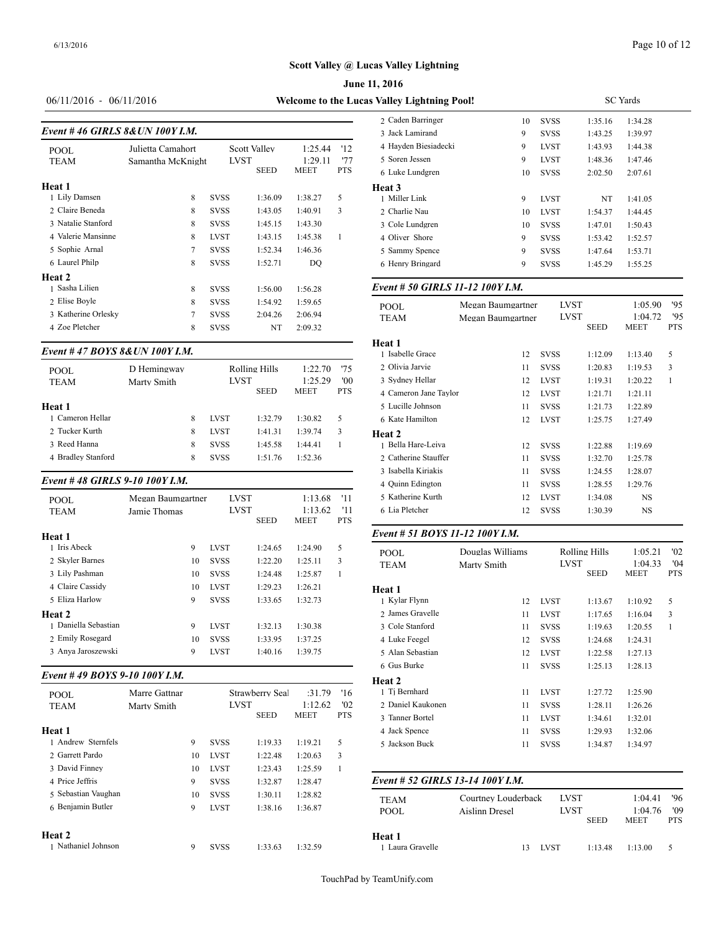### **June 11, 2016**

|                                 |                   |             |                      |                        |                   | <b>June 11, 2016</b>                        |                   |
|---------------------------------|-------------------|-------------|----------------------|------------------------|-------------------|---------------------------------------------|-------------------|
| $06/11/2016 - 06/11/2016$       |                   |             |                      |                        |                   | Welcome to the Lucas Valley Lightning Pool! |                   |
| Event #46 GIRLS 8& UN 100Y I.M. |                   |             |                      |                        |                   | 2 Caden Barringer                           | 10                |
|                                 |                   |             |                      |                        |                   | 3 Jack Lamirand                             | 9                 |
| <b>POOL</b>                     | Julietta Camahort |             | <b>Scott Valley</b>  | 1:25.44                | '12               | 4 Hayden Biesiadecki                        | 9                 |
| <b>TEAM</b>                     | Samantha McKnight | <b>LVST</b> | <b>SEED</b>          | 1:29.11<br><b>MEET</b> | '77<br><b>PTS</b> | 5 Soren Jessen<br>6 Luke Lundgren           | 9<br>10           |
| Heat 1                          |                   |             |                      |                        |                   | Heat 3                                      |                   |
| 1 Lily Damsen                   | 8                 | <b>SVSS</b> | 1:36.09              | 1:38.27                | 5                 | 1 Miller Link                               | 9                 |
| 2 Claire Beneda                 | 8                 | <b>SVSS</b> | 1:43.05              | 1:40.91                | 3                 | 2 Charlie Nau                               | 10                |
| 3 Natalie Stanford              | 8                 | <b>SVSS</b> | 1:45.15              | 1:43.30                |                   | 3 Cole Lundgren                             | 10                |
| 4 Valerie Mansinne              | 8                 | <b>LVST</b> | 1:43.15              | 1:45.38                | $\mathbf{1}$      | 4 Oliver Shore                              | 9                 |
| 5 Sophie Arnal                  | 7                 | <b>SVSS</b> | 1:52.34              | 1:46.36                |                   | 5 Sammy Spence                              | 9                 |
| 6 Laurel Philp                  | 8                 | <b>SVSS</b> | 1:52.71              | DO                     |                   | 6 Henry Bringard                            | 9                 |
| Heat 2                          |                   |             |                      |                        |                   |                                             |                   |
| 1 Sasha Lilien                  | 8                 | <b>SVSS</b> | 1:56.00              | 1:56.28                |                   | Event # 50 GIRLS 11-12 100Y I.M.            |                   |
| 2 Elise Boyle                   | 8                 | <b>SVSS</b> | 1:54.92              | 1:59.65                |                   | <b>POOL</b>                                 | Megan Baumgartner |
| 3 Katherine Orlesky             | 7                 | <b>SVSS</b> | 2:04.26              | 2:06.94                |                   | <b>TEAM</b>                                 | Megan Baumgartner |
| 4 Zoe Pletcher                  | 8                 | <b>SVSS</b> | NT                   | 2:09.32                |                   |                                             |                   |
|                                 |                   |             |                      |                        |                   | Heat 1                                      |                   |
| Event #47 BOYS 8& UN 100Y I.M.  |                   |             |                      |                        |                   | 1 Isabelle Grace                            | 12                |
| <b>POOL</b>                     | D Hemingway       |             | <b>Rolling Hills</b> | 1:22.70                | '75               | 2 Olivia Jarvie                             | 11                |
| <b>TEAM</b>                     | Marty Smith       | <b>LVST</b> |                      | 1:25.29                | '00               | 3 Sydney Hellar                             | 12                |
|                                 |                   |             | <b>SEED</b>          | <b>MEET</b>            | <b>PTS</b>        | 4 Cameron Jane Taylor                       | 12                |
| Heat 1                          |                   |             |                      |                        |                   | 5 Lucille Johnson                           | 11                |
| 1 Cameron Hellar                | 8                 | <b>LVST</b> | 1:32.79              | 1:30.82                | 5                 | 6 Kate Hamilton                             | 12                |
| 2 Tucker Kurth                  | 8                 | <b>LVST</b> | 1:41.31              | 1:39.74                | 3                 | Heat <sub>2</sub>                           |                   |
| 3 Reed Hanna                    | 8                 | <b>SVSS</b> | 1:45.58              | 1:44.41                | 1                 | 1 Bella Hare-Leiva                          | 12                |
| 4 Bradley Stanford              | 8                 | <b>SVSS</b> | 1:51.76              | 1:52.36                |                   | 2 Catherine Stauffer                        | 11                |
|                                 |                   |             |                      |                        |                   | 3 Isabella Kiriakis                         | 11                |
| Event #48 GIRLS 9-10 100Y I.M.  |                   |             |                      |                        |                   | 4 Ouinn Edinoton                            | 11                |

## POOL Megan Baumgartner LVST 1:13.68 '11 Jamie Thomas  $LVST$  1:13.62 '11<br>SEED MEET PTS **MEET Heat 1** 1 Iris Abeck 9 LVST 1:24.65 1:24.90 5 2 Skyler Barnes 10 SVSS 1:22.20 1:25.11 3 3 Lily Pashman 10 SVSS 1:24.48 1:25.87 1 4 Claire Cassidy 10 LVST 1:29.23 1:26.21 5 Eliza Harlow 9 SVSS 1:33.65 1:32.73 **Heat 2** 1 Daniella Sebastian 9 LVST 1:32.13 1:30.38 2 Emily Rosegard 10 SVSS 1:33.95 1:37.25 3 Anya Jaroszewski 9 LVST 1:40.16 1:39.75

### *Event # 49 BOYS 9-10 100Y I.M.*

|                     |               |    |             |                 |             |            | неаt 2            |
|---------------------|---------------|----|-------------|-----------------|-------------|------------|-------------------|
| POOL                | Marre Gattnar |    |             | Strawberry Seal | :31.79      | 16         | 1 Ti Bernhard     |
| <b>TEAM</b>         | Marty Smith   |    | <b>LVST</b> |                 | 1:12.62     | '02        | 2 Daniel Kaukone  |
|                     |               |    |             | <b>SEED</b>     | <b>MEET</b> | <b>PTS</b> | 3 Tanner Bortel   |
| Heat 1              |               |    |             |                 |             |            | 4 Jack Spence     |
| 1 Andrew Sternfels  |               | 9  | <b>SVSS</b> | 1:19.33         | 1:19.21     | 5          | 5 Jackson Buck    |
| 2 Garrett Pardo     |               | 10 | <b>LVST</b> | 1:22.48         | 1:20.63     | 3          |                   |
| 3 David Finney      |               | 10 | <b>LVST</b> | 1:23.43         | 1:25.59     | 1          |                   |
| 4 Price Jeffris     |               | 9  | <b>SVSS</b> | 1:32.87         | 1:28.47     |            | Event $# 52$ GIRI |
| 5 Sebastian Vaughan |               | 10 | <b>SVSS</b> | 1:30.11         | 1:28.82     |            | <b>TEAM</b>       |
| 6 Benjamin Butler   |               | 9  | <b>LVST</b> | 1:38.16         | 1:36.87     |            | <b>POOL</b>       |
| Heat 2              |               |    |             |                 |             |            | Heat 1            |
| 1 Nathaniel Johnson |               | 9  | <b>SVSS</b> | 1:33.63         | 1:32.59     |            | 1 Laura Gravelle  |

| Valley Lightning Pool! |    |             |         | <b>SC</b> Yards |  |
|------------------------|----|-------------|---------|-----------------|--|
| 2 Caden Barringer      | 10 | <b>SVSS</b> | 1:35.16 | 1:34.28         |  |
| 3 Jack Lamirand        | 9  | <b>SVSS</b> | 1:43.25 | 1:39.97         |  |
| 4 Havden Biesiadecki   | 9  | <b>LVST</b> | 1:43.93 | 1:44.38         |  |
| 5 Soren Jessen         | 9  | <b>LVST</b> | 1:48.36 | 1:47.46         |  |
| 6 Luke Lundgren        | 10 | <b>SVSS</b> | 2:02.50 | 2:07.61         |  |
| <b>Heat 3</b>          |    |             |         |                 |  |
| 1 Miller Link          | 9  | <b>LVST</b> | NT      | 1:41.05         |  |
| 2 Charlie Nau          | 10 | <b>LVST</b> | 1:54.37 | 1:44.45         |  |
| 3 Cole Lundgren        | 10 | <b>SVSS</b> | 1:47.01 | 1:50.43         |  |
| 4 Oliver Shore         | 9  | <b>SVSS</b> | 1:53.42 | 1:52.57         |  |
| 5 Sammy Spence         | 9  | <b>SVSS</b> | 1:47.64 | 1:53.71         |  |
| 6 Henry Bringard       | 9  | <b>SVSS</b> | 1:45.29 | 1:55.25         |  |
|                        |    |             |         |                 |  |

## *Event # 50 GIRLS 11-12 100Y I.M.*

| <b>POOL</b>           | Megan Baumgartner | <b>LVST</b> |             | 1:05.90     | '95          |
|-----------------------|-------------------|-------------|-------------|-------------|--------------|
| TEAM                  | Megan Baumgartner | <b>LVST</b> |             | 1:04.72     | 95           |
|                       |                   |             | <b>SEED</b> | <b>MEET</b> | <b>PTS</b>   |
| Heat 1                |                   |             |             |             |              |
| 1 Isabelle Grace      | 12                | <b>SVSS</b> | 1:12.09     | 1:13.40     | 5            |
| 2 Olivia Jarvie       | 11                | <b>SVSS</b> | 1:20.83     | 1:19.53     | 3            |
| 3 Sydney Hellar       | 12                | <b>LVST</b> | 1:19.31     | 1:20.22     | $\mathbf{1}$ |
| 4 Cameron Jane Taylor | 12                | LVST        | 1:21.71     | 1:21.11     |              |
| 5 Lucille Johnson     | 11                | <b>SVSS</b> | 1:21.73     | 1:22.89     |              |
| 6 Kate Hamilton       | 12                | <b>LVST</b> | 1:25.75     | 1:27.49     |              |
| Heat 2                |                   |             |             |             |              |
| 1 Bella Hare-Leiva    | 12                | <b>SVSS</b> | 1:22.88     | 1:19.69     |              |
| 2 Catherine Stauffer  | 11                | <b>SVSS</b> | 1:32.70     | 1:25.78     |              |
| 3 Isabella Kiriakis   | 11                | <b>SVSS</b> | 1:24.55     | 1:28.07     |              |
| 4 Quinn Edington      | 11                | <b>SVSS</b> | 1:28.55     | 1:29.76     |              |
| 5 Katherine Kurth     | 12                | <b>LVST</b> | 1:34.08     | NS          |              |
| 6 Lia Pletcher        | 12                | <b>SVSS</b> | 1:30.39     | NS          |              |
|                       |                   |             |             |             |              |

### *Event # 51 BOYS 11-12 100Y I.M.*

| <b>POOL</b><br><b>TEAM</b> | Douglas Williams<br>Marty Smith | <b>LVST</b> | Rolling Hills | 1:05.21<br>1:04.33 | '02<br>'04 |  |
|----------------------------|---------------------------------|-------------|---------------|--------------------|------------|--|
|                            |                                 |             | <b>SEED</b>   | <b>MEET</b>        | <b>PTS</b> |  |
| <b>Heat 1</b>              |                                 |             |               |                    |            |  |
| 1 Kylar Flynn              | 12                              | LVST        | 1:13.67       | 1:10.92            | 5          |  |
| 2 James Gravelle           | 11                              | <b>LVST</b> | 1:17.65       | 1:16.04            | 3          |  |
| 3 Cole Stanford            | 11                              | <b>SVSS</b> | 1:19.63       | 1:20.55            | 1          |  |
| 4 Luke Feegel              | 12                              | <b>SVSS</b> | 1:24.68       | 1:24.31            |            |  |
| 5 Alan Sebastian           | 12                              | <b>LVST</b> | 1:22.58       | 1:27.13            |            |  |
| 6 Gus Burke                | 11                              | <b>SVSS</b> | 1:25.13       | 1:28.13            |            |  |
| Heat 2                     |                                 |             |               |                    |            |  |
| 1 Ti Bernhard              | 11                              | <b>LVST</b> | 1:27.72       | 1:25.90            |            |  |
| 2 Daniel Kaukonen          | 11                              | <b>SVSS</b> | 1:28.11       | 1:26.26            |            |  |
| 3 Tanner Bortel            | 11                              | <b>LVST</b> | 1:34.61       | 1:32.01            |            |  |
| 4 Jack Spence              | 11                              | <b>SVSS</b> | 1:29.93       | 1:32.06            |            |  |
| 5 Jackson Buck             | 11                              | <b>SVSS</b> | 1:34.87       | 1:34.97            |            |  |
|                            |                                 |             |               |                    |            |  |

## *Event # 52 GIRLS 13-14 100Y I.M.* TEAM Courtney Louderback LVST 1:04.41 '96<br>POOL Aislinn Dresel LVST 1:04.76 '09 POOL Aislinn Dresel LVST 1:04.76 '09<br>SEED MEET PTS  $\sf{MEET}$ **Heat 1** 1 Laura Gravelle 13 LVST 1:13.48 1:13.00 5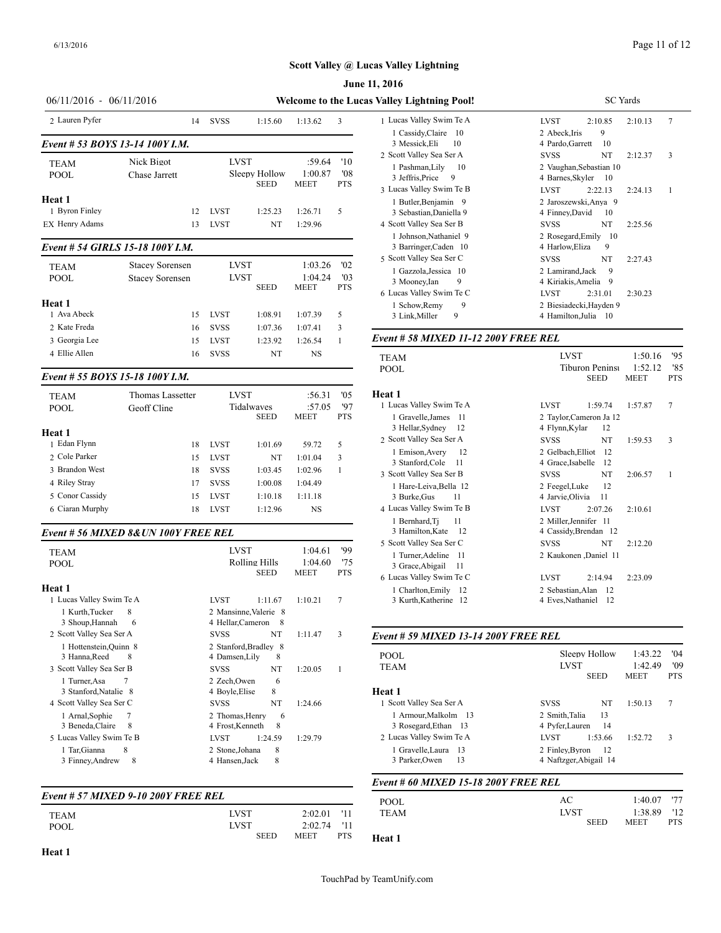## **Scott Valley @ Lucas Valley Lightning**

| $06/11/2016 - 06/11/2016$                    |                         |    |                                |                             |                    |                | Welcome to the Lucas Valley Lightning Pool!       | <b>SC</b> Yards                                          |            |
|----------------------------------------------|-------------------------|----|--------------------------------|-----------------------------|--------------------|----------------|---------------------------------------------------|----------------------------------------------------------|------------|
| 2 Lauren Pyfer                               |                         | 14 | SVSS                           | 1:15.60                     | 1:13.62            | 3              | 1 Lucas Valley Swim Te A                          | <b>LVST</b><br>2:10.85<br>2:10.13                        | 7          |
| Event # 53 BOYS 13-14 100Y I.M.              |                         |    |                                |                             |                    |                | 1 Cassidy, Claire 10<br>3 Messick, Eli<br>10      | 9<br>2 Abeck, Iris<br>4 Pardo, Garrett 10                |            |
|                                              | Nick Bigot              |    | <b>LVST</b>                    |                             | :59.64             | '10            | 2 Scott Valley Sea Ser A                          | <b>SVSS</b><br>NT<br>2:12.37                             | 3          |
| <b>TEAM</b><br>POOL                          | Chase Jarrett           |    |                                | Sleepy Hollow               | 1:00.87            | '08            | 1 Pashman, Lily 10                                | 2 Vaughan, Sebastian 10                                  |            |
|                                              |                         |    |                                | <b>SEED</b>                 | MEET               | <b>PTS</b>     | 3 Jeffris, Price<br>9<br>3 Lucas Valley Swim Te B | 4 Barnes, Skyler 10<br><b>LVST</b><br>2:22.13<br>2:24.13 | -1         |
| Heat 1                                       |                         |    |                                |                             |                    |                | 1 Butler, Benjamin 9                              | 2 Jaroszewski, Anya 9                                    |            |
| 1 Byron Finley                               |                         | 12 | <b>LVST</b>                    | 1:25.23                     | 1:26.71            | 5              | 3 Sebastian, Daniella 9                           | 4 Finney, David<br>-10                                   |            |
| EX Henry Adams                               |                         | 13 | LVST                           | NT                          | 1:29.96            |                | 4 Scott Valley Sea Ser B                          | <b>SVSS</b><br>NT<br>2:25.56                             |            |
| Event # 54 GIRLS 15-18 100Y I.M.             |                         |    |                                |                             |                    |                | 1 Johnson, Nathaniel 9<br>3 Barringer, Caden 10   | 2 Rosegard, Emily 10<br>9<br>4 Harlow, Eliza             |            |
|                                              |                         |    |                                |                             |                    |                | 5 Scott Valley Sea Ser C                          | <b>SVSS</b><br>NT<br>2:27.43                             |            |
| <b>TEAM</b>                                  | <b>Stacey Sorensen</b>  |    | <b>LVST</b><br><b>LVST</b>     |                             | 1:03.26<br>1:04.24 | '02<br>'03     | 1 Gazzola, Jessica 10                             | 2 Lamirand, Jack<br>9                                    |            |
| <b>POOL</b>                                  | <b>Stacey Sorensen</b>  |    |                                | <b>SEED</b>                 | <b>MEET</b>        | <b>PTS</b>     | 9<br>3 Mooney, Ian                                | 4 Kiriakis, Amelia 9                                     |            |
| Heat 1                                       |                         |    |                                |                             |                    |                | 6 Lucas Valley Swim Te C                          | <b>LVST</b><br>2:31.01<br>2:30.23                        |            |
| 1 Ava Abeck                                  |                         | 15 | LVST                           | 1:08.91                     | 1:07.39            | 5              | 1 Schow, Remy<br>9<br>3 Link, Miller<br>9         | 2 Biesiadecki, Hayden 9<br>4 Hamilton, Julia 10          |            |
| 2 Kate Freda                                 |                         | 16 | <b>SVSS</b>                    | 1:07.36                     | 1:07.41            | 3              |                                                   |                                                          |            |
| 3 Georgia Lee                                |                         | 15 | <b>LVST</b>                    | 1:23.92                     | 1:26.54            | -1             | Event # 58 MIXED 11-12 200Y FREE REL              |                                                          |            |
| 4 Ellie Allen                                |                         | 16 | <b>SVSS</b>                    | NT                          | NS                 |                | <b>TEAM</b>                                       | <b>LVST</b><br>1:50.16                                   | '95        |
|                                              |                         |    |                                |                             |                    |                | POOL                                              | Tiburon Peninsu<br>1:52.12                               | '85        |
| Event # 55 BOYS 15-18 100Y I.M.              |                         |    |                                |                             |                    |                |                                                   | <b>SEED</b><br><b>MEET</b>                               | <b>PTS</b> |
| <b>TEAM</b>                                  | <b>Thomas Lassetter</b> |    | <b>LVST</b>                    |                             | :56.31             | '05            | Heat 1                                            |                                                          |            |
| POOL                                         | Geoff Cline             |    |                                | Tidalwaves                  | :57.05             | '97            | 1 Lucas Valley Swim Te A                          | 1:59.74<br><b>LVST</b><br>1:57.87                        | $\tau$     |
|                                              |                         |    |                                | <b>SEED</b>                 | <b>MEET</b>        | <b>PTS</b>     | 1 Gravelle, James 11                              | 2 Taylor, Cameron Ja 12                                  |            |
| Heat 1                                       |                         |    |                                |                             |                    |                | 3 Hellar, Sydney 12                               | 4 Flynn, Kylar<br>- 12                                   |            |
| 1 Edan Flynn                                 |                         | 18 | <b>LVST</b>                    | 1:01.69                     | 59.72              | 5              | 2 Scott Valley Sea Ser A                          | <b>SVSS</b><br>NT<br>1:59.53                             | 3          |
| 2 Cole Parker                                |                         | 15 | <b>LVST</b>                    | NT                          | 1:01.04            | $\overline{3}$ | 1 Emison, Avery<br>-12<br>3 Stanford, Cole 11     | 2 Gelbach, Elliot 12<br>4 Grace, Isabelle 12             |            |
| 3 Brandon West                               |                         | 18 | <b>SVSS</b>                    | 1:03.45                     | 1:02.96            | -1             | 3 Scott Valley Sea Ser B                          | <b>SVSS</b><br>NT<br>2:06.57                             | -1         |
| 4 Riley Stray                                |                         | 17 | <b>SVSS</b>                    | 1:00.08                     | 1:04.49            |                | 1 Hare-Leiva, Bella 12                            | 2 Feegel, Luke<br>12                                     |            |
| 5 Conor Cassidy                              |                         | 15 | <b>LVST</b>                    | 1:10.18                     | 1:11.18            |                | 3 Burke, Gus<br>11                                | -11<br>4 Jarvie, Olivia                                  |            |
| 6 Ciaran Murphy                              |                         | 18 | LVST                           | 1:12.96                     | <b>NS</b>          |                | 4 Lucas Valley Swim Te B                          | <b>LVST</b><br>2:07.26<br>2:10.61                        |            |
| Event # 56 MIXED 8& UN 100Y FREE REL         |                         |    |                                |                             |                    |                | 1 Bernhard, Tj<br>-11<br>3 Hamilton, Kate 12      | 2 Miller, Jennifer 11<br>4 Cassidy, Brendan 12           |            |
|                                              |                         |    | <b>LVST</b>                    |                             | 1:04.61            | '99            | 5 Scott Valley Sea Ser C                          | <b>SVSS</b><br>NT<br>2:12.20                             |            |
| TEAM<br><b>POOL</b>                          |                         |    |                                | Rolling Hills               | 1:04.60            | '75            | 1 Turner, Adeline 11                              | 2 Kaukonen ,Daniel 11                                    |            |
|                                              |                         |    |                                | <b>SEED</b>                 | MEET               | <b>PTS</b>     | 3 Grace, Abigail 11<br>6 Lucas Valley Swim Te C   | <b>LVST</b><br>2:14.94<br>2:23.09                        |            |
| Heat 1                                       |                         |    |                                |                             |                    |                | 1 Charlton, Emily 12                              | 2 Sebastian, Alan 12                                     |            |
| 1 Lucas Valley Swim Te A                     |                         |    | <b>LVST</b>                    | 1:11.67                     | 1:10.21            | 7              | 3 Kurth, Katherine 12                             | 4 Eves, Nathaniel 12                                     |            |
| 1 Kurth, Tucker                              | - 8                     |    |                                | 2 Mansinne, Valerie 8       |                    |                |                                                   |                                                          |            |
| 3 Shoup, Hannah                              | -6                      |    |                                | 4 Hellar, Cameron 8         |                    |                |                                                   |                                                          |            |
| 2 Scott Valley Sea Ser A                     |                         |    | <b>SVSS</b>                    | NT<br>2 Stanford, Bradley 8 | 1:11.47            | 3              | Event # 59 MIXED 13-14 200Y FREE REL              |                                                          |            |
| 1 Hottenstein, Quinn 8<br>3 Hanna, Reed      | 8                       |    | 4 Damsen, Lily                 | 8                           |                    |                | <b>POOL</b>                                       | Sleepy Hollow<br>1:43.22                                 | '04        |
| 3 Scott Valley Sea Ser B                     |                         |    | <b>SVSS</b>                    | NT                          | 1:20.05            | -1             | <b>TEAM</b>                                       | <b>LVST</b><br>1:42.49                                   | '09        |
| 1 Turner, Asa                                | 7                       |    | 2 Zech, Owen                   | 6                           |                    |                |                                                   | <b>SEED</b><br><b>MEET</b>                               | PTS        |
| 3 Stanford, Natalie 8                        |                         |    | 4 Boyle, Elise                 | 8                           |                    |                | Heat 1                                            |                                                          |            |
| 4 Scott Valley Sea Ser C                     |                         |    | <b>SVSS</b>                    | NT                          | 1:24.66            |                | 1 Scott Valley Sea Ser A                          | <b>SVSS</b><br>NT<br>1:50.13                             | 7          |
| 1 Arnal, Sophie                              | -7                      |    | 2 Thomas, Henry                | 6                           |                    |                | 1 Armour, Malkolm 13                              | 2 Smith, Talia<br>13                                     |            |
| 3 Beneda, Claire<br>5 Lucas Valley Swim Te B | - 8                     |    | 4 Frost, Kenneth               | 8                           |                    |                | 3 Rosegard, Ethan 13<br>2 Lucas Valley Swim Te A  | 4 Pyfer, Lauren<br>-14                                   |            |
| 1 Tar, Gianna                                | 8                       |    | <b>LVST</b><br>2 Stone, Johana | 1:24.59<br>8                | 1:29.79            |                | 1 Gravelle, Laura 13                              | LVST<br>1:53.66<br>1:52.72<br>2 Finley, Byron<br>12      | 3          |
| 3 Finney, Andrew 8                           |                         |    | 4 Hansen, Jack                 | 8                           |                    |                | 3 Parker, Owen<br>13                              | 4 Naftzger, Abigail 14                                   |            |
|                                              |                         |    |                                |                             |                    |                | Event # 60 MIXED 15-18 200Y FREE REL              |                                                          |            |
| Event # 57 MIXED 9-10 200Y FREE REL          |                         |    |                                |                             |                    |                | <b>POOL</b>                                       | AC<br>1:40.07                                            | '77        |
| TEAM                                         |                         |    | <b>LVST</b>                    |                             | 2:02.01            | 11             | <b>TEAM</b>                                       | <b>LVST</b><br>1:38.89                                   | '12        |
| POOL                                         |                         |    | <b>LVST</b>                    |                             | 2:02.74 '11        |                |                                                   | <b>SEED</b><br>MEET                                      | PTS        |

### TouchPad by TeamUnify.com

SEED MEET PTS **Heat 1**